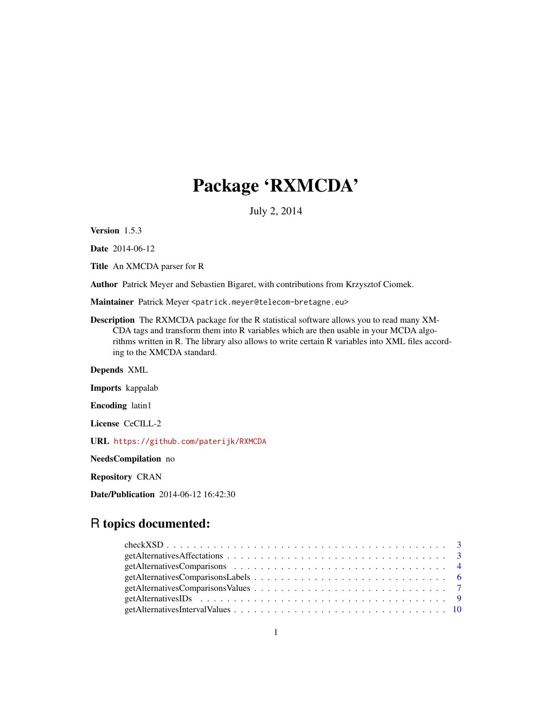# Package 'RXMCDA'

July 2, 2014

Version 1.5.3

Date 2014-06-12

Title An XMCDA parser for R

Author Patrick Meyer and Sebastien Bigaret, with contributions from Krzysztof Ciomek.

Maintainer Patrick Meyer <patrick.meyer@telecom-bretagne.eu>

Description The RXMCDA package for the R statistical software allows you to read many XM-CDA tags and transform them into R variables which are then usable in your MCDA algorithms written in R. The library also allows to write certain R variables into XML files according to the XMCDA standard.

Depends XML

Imports kappalab

Encoding latin1

License CeCILL-2

URL <https://github.com/paterijk/RXMCDA>

NeedsCompilation no

Repository CRAN

Date/Publication 2014-06-12 16:42:30

# R topics documented: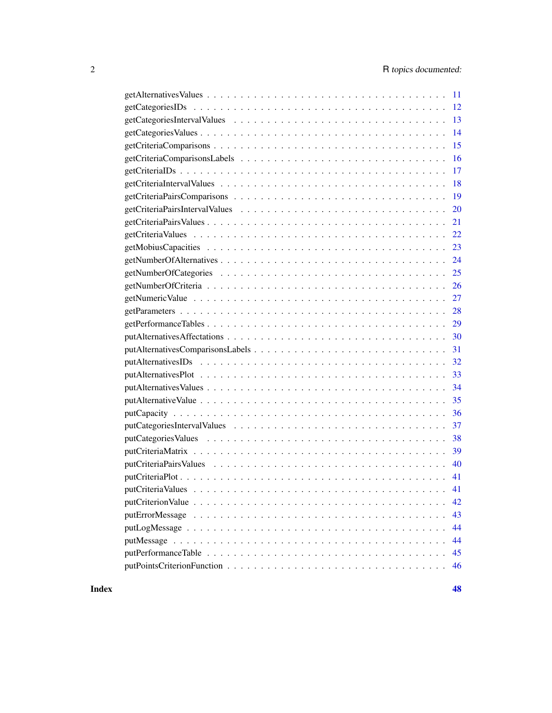| -11           |
|---------------|
|               |
|               |
| - 14          |
| 15            |
| 16            |
| 17            |
| 18            |
| <sup>19</sup> |
| 20            |
| 21            |
| 22            |
| 23            |
|               |
|               |
| 26            |
| 27            |
| 28            |
|               |
| 29            |
| 30            |
| 31            |
| 32            |
|               |
|               |
| 35            |
| 36            |
| 37            |
| 38            |
| -39           |
| 40            |
| -41           |
| 41            |
| 42            |
| 43            |
| 44            |
| 44            |
| 45            |

**Index a** set of the contract of the contract of the contract of the contract of the contract of the contract of the contract of the contract of the contract of the contract of the contract of the contract of the contrac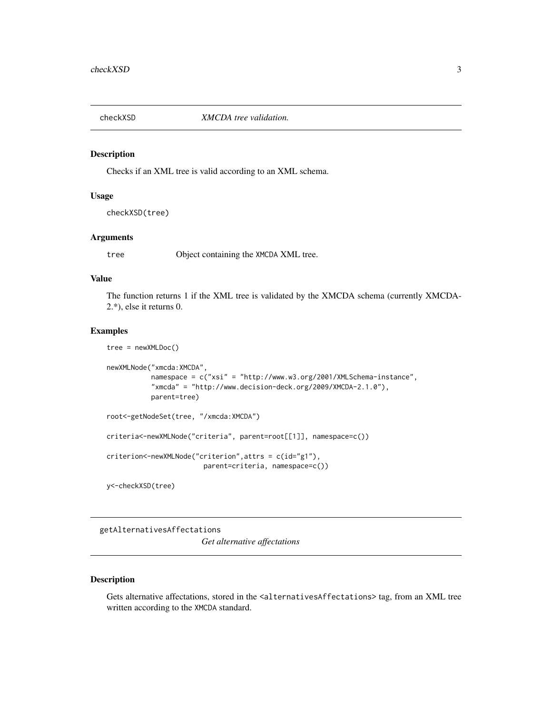<span id="page-2-0"></span>

#### Description

Checks if an XML tree is valid according to an XML schema.

## Usage

checkXSD(tree)

#### Arguments

tree Object containing the XMCDA XML tree.

## Value

The function returns 1 if the XML tree is validated by the XMCDA schema (currently XMCDA-2.\*), else it returns 0.

## Examples

tree = newXMLDoc()

```
newXMLNode("xmcda:XMCDA",
           namespace = c("xsi" = "http://www.w3.org/2001/XMLSchema-instance",
           "xmcda" = "http://www.decision-deck.org/2009/XMCDA-2.1.0"),
           parent=tree)
root<-getNodeSet(tree, "/xmcda:XMCDA")
criteria<-newXMLNode("criteria", parent=root[[1]], namespace=c())
criterion<-newXMLNode("criterion",attrs = c(id="g1"),
                        parent=criteria, namespace=c())
```
y<-checkXSD(tree)

## getAlternativesAffectations

*Get alternative affectations*

## Description

Gets alternative affectations, stored in the <alternativesAffectations> tag, from an XML tree written according to the XMCDA standard.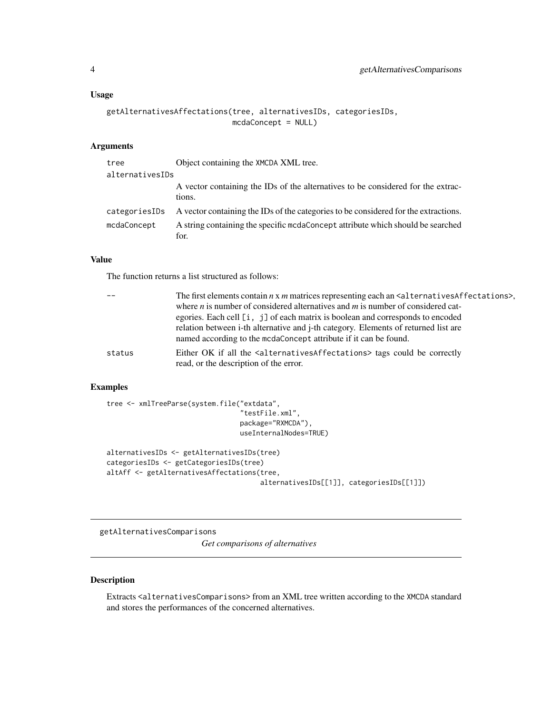## <span id="page-3-0"></span>Usage

```
getAlternativesAffectations(tree, alternativesIDs, categoriesIDs,
                            mcdaConcept = NULL)
```
## Arguments

| tree            | Object containing the XMCDA XML tree.                                                      |
|-----------------|--------------------------------------------------------------------------------------------|
| alternativesIDs |                                                                                            |
|                 | A vector containing the IDs of the alternatives to be considered for the extrac-<br>tions. |
| categoriesIDs   | A vector containing the IDs of the categories to be considered for the extractions.        |
| mcdaConcept     | A string containing the specific medaConcept attribute which should be searched<br>for.    |

## Value

The function returns a list structured as follows:

|        | The first elements contain $n \times m$ matrices representing each an $\leq$ alternatives Affectations>,<br>where $n$ is number of considered alternatives and $m$ is number of considered cat-                                          |
|--------|------------------------------------------------------------------------------------------------------------------------------------------------------------------------------------------------------------------------------------------|
|        | egories. Each cell [i, j] of each matrix is boolean and corresponds to encoded<br>relation between i-th alternative and j-th category. Elements of returned list are<br>named according to the mcdaConcept attribute if it can be found. |
| status | Either OK if all the <alternativesaffectations> tags could be correctly<br/>read, or the description of the error.</alternativesaffectations>                                                                                            |

## Examples

```
tree <- xmlTreeParse(system.file("extdata",
                                 "testFile.xml",
                                 package="RXMCDA"),
                                 useInternalNodes=TRUE)
alternativesIDs <- getAlternativesIDs(tree)
categoriesIDs <- getCategoriesIDs(tree)
altAff <- getAlternativesAffectations(tree,
```
alternativesIDs[[1]], categoriesIDs[[1]])

getAlternativesComparisons

*Get comparisons of alternatives*

## Description

Extracts <alternativesComparisons> from an XML tree written according to the XMCDA standard and stores the performances of the concerned alternatives.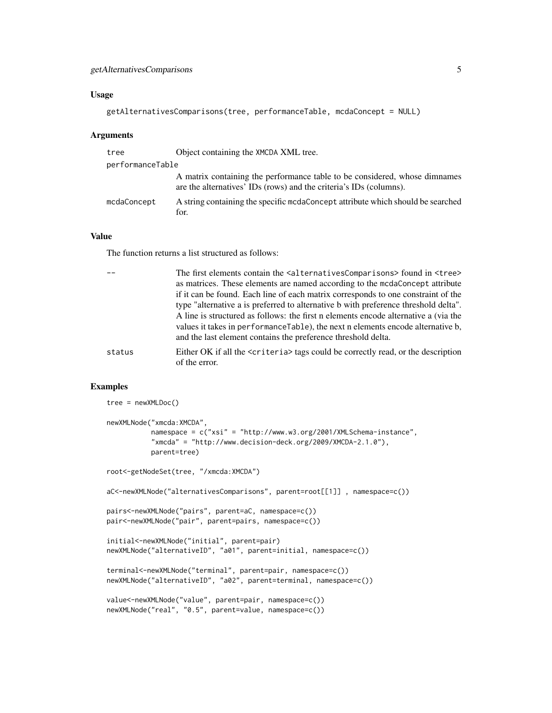## Usage

```
getAlternativesComparisons(tree, performanceTable, mcdaConcept = NULL)
```
#### Arguments

| tree             | Object containing the XMCDA XML tree.                                                                                                            |
|------------------|--------------------------------------------------------------------------------------------------------------------------------------------------|
| performanceTable |                                                                                                                                                  |
|                  | A matrix containing the performance table to be considered, whose dimnames<br>are the alternatives' IDs (rows) and the criteria's IDs (columns). |
| mcdaConcept      | A string containing the specific medaConcept attribute which should be searched<br>for.                                                          |

## Value

The function returns a list structured as follows:

|        | The first elements contain the <alternativescomparisons> found in <tree><br/>as matrices. These elements are named according to the mcdaConcept attribute<br/>if it can be found. Each line of each matrix corresponds to one constraint of the</tree></alternativescomparisons>                                                |
|--------|---------------------------------------------------------------------------------------------------------------------------------------------------------------------------------------------------------------------------------------------------------------------------------------------------------------------------------|
|        | type "alternative a is preferred to alternative b with preference threshold delta".<br>A line is structured as follows: the first n elements encode alternative a (via the<br>values it takes in performance Table), the next n elements encode alternative b.<br>and the last element contains the preference threshold delta. |
| status | Either OK if all the <criteria> tags could be correctly read, or the description<br/>of the error.</criteria>                                                                                                                                                                                                                   |

## Examples

tree = newXMLDoc()

```
newXMLNode("xmcda:XMCDA",
          namespace = c("xsi" = "http://www.w3.org/2001/XMLSchema-instance",
           "xmcda" = "http://www.decision-deck.org/2009/XMCDA-2.1.0"),
          parent=tree)
root<-getNodeSet(tree, "/xmcda:XMCDA")
aC<-newXMLNode("alternativesComparisons", parent=root[[1]] , namespace=c())
pairs<-newXMLNode("pairs", parent=aC, namespace=c())
pair<-newXMLNode("pair", parent=pairs, namespace=c())
initial<-newXMLNode("initial", parent=pair)
newXMLNode("alternativeID", "a01", parent=initial, namespace=c())
terminal<-newXMLNode("terminal", parent=pair, namespace=c())
newXMLNode("alternativeID", "a02", parent=terminal, namespace=c())
value<-newXMLNode("value", parent=pair, namespace=c())
newXMLNode("real", "0.5", parent=value, namespace=c())
```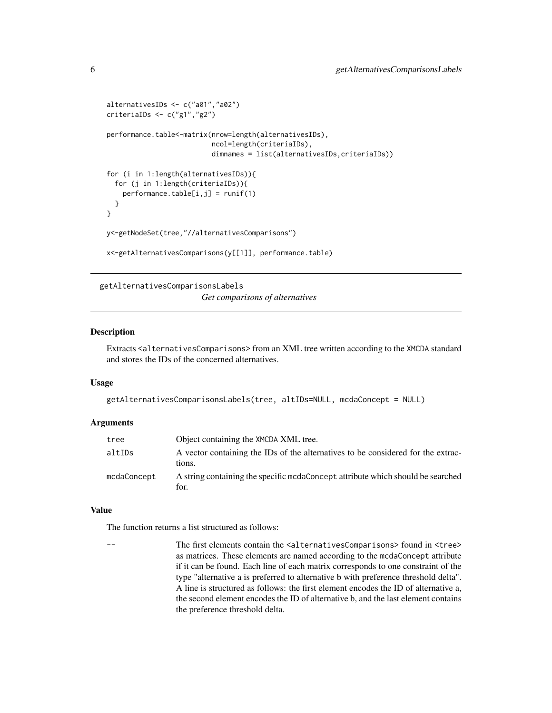```
alternativesIDs <- c("a01","a02")
criteriaIDs <- c("g1","g2")
performance.table<-matrix(nrow=length(alternativesIDs),
                          ncol=length(criteriaIDs),
                          dimnames = list(alternativesIDs,criteriaIDs))
for (i in 1:length(alternativesIDs)){
 for (j in 1:length(criteriaIDs)){
   performance.table[i,j] = runif(1)
 }
}
y<-getNodeSet(tree,"//alternativesComparisons")
x<-getAlternativesComparisons(y[[1]], performance.table)
```
getAlternativesComparisonsLabels

*Get comparisons of alternatives*

## Description

Extracts <alternativesComparisons> from an XML tree written according to the XMCDA standard and stores the IDs of the concerned alternatives.

#### Usage

```
getAlternativesComparisonsLabels(tree, altIDs=NULL, mcdaConcept = NULL)
```
#### **Arguments**

| tree        | Object containing the XMCDA XML tree.                                                      |
|-------------|--------------------------------------------------------------------------------------------|
| altIDs      | A vector containing the IDs of the alternatives to be considered for the extrac-<br>tions. |
| mcdaConcept | A string containing the specific moda Concept attribute which should be searched<br>for.   |

## Value

The function returns a list structured as follows:

The first elements contain the <alternativesComparisons> found in <tree> as matrices. These elements are named according to the mcdaConcept attribute if it can be found. Each line of each matrix corresponds to one constraint of the type "alternative a is preferred to alternative b with preference threshold delta". A line is structured as follows: the first element encodes the ID of alternative a, the second element encodes the ID of alternative b, and the last element contains the preference threshold delta.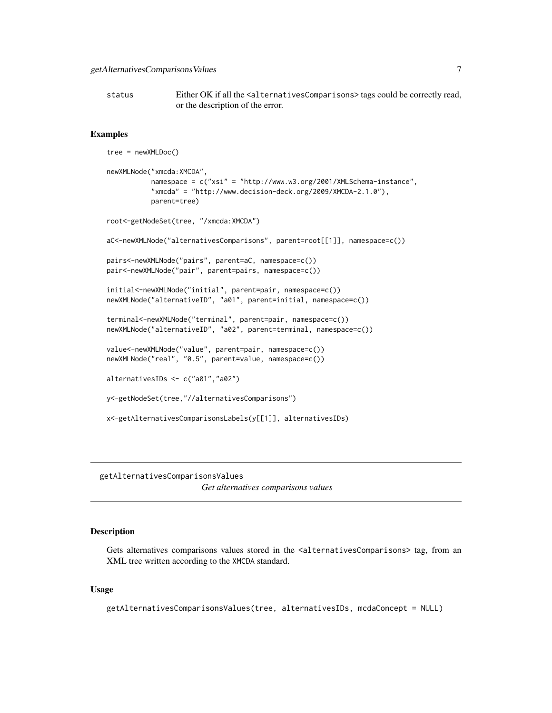<span id="page-6-0"></span>status Either OK if all the <alternativesComparisons> tags could be correctly read, or the description of the error.

#### Examples

```
tree = newXMLDoc()
newXMLNode("xmcda:XMCDA",
           namespace = c("xsi" = "http://www.w3.org/2001/XMLSchema-instance",
           "xmcda" = "http://www.decision-deck.org/2009/XMCDA-2.1.0"),
           parent=tree)
root<-getNodeSet(tree, "/xmcda:XMCDA")
aC<-newXMLNode("alternativesComparisons", parent=root[[1]], namespace=c())
pairs<-newXMLNode("pairs", parent=aC, namespace=c())
pair<-newXMLNode("pair", parent=pairs, namespace=c())
initial<-newXMLNode("initial", parent=pair, namespace=c())
newXMLNode("alternativeID", "a01", parent=initial, namespace=c())
terminal<-newXMLNode("terminal", parent=pair, namespace=c())
newXMLNode("alternativeID", "a02", parent=terminal, namespace=c())
value<-newXMLNode("value", parent=pair, namespace=c())
newXMLNode("real", "0.5", parent=value, namespace=c())
alternativesIDs <- c("a01","a02")
y<-getNodeSet(tree,"//alternativesComparisons")
x<-getAlternativesComparisonsLabels(y[[1]], alternativesIDs)
```
getAlternativesComparisonsValues *Get alternatives comparisons values*

#### Description

Gets alternatives comparisons values stored in the <alternativesComparisons> tag, from an XML tree written according to the XMCDA standard.

#### Usage

getAlternativesComparisonsValues(tree, alternativesIDs, mcdaConcept = NULL)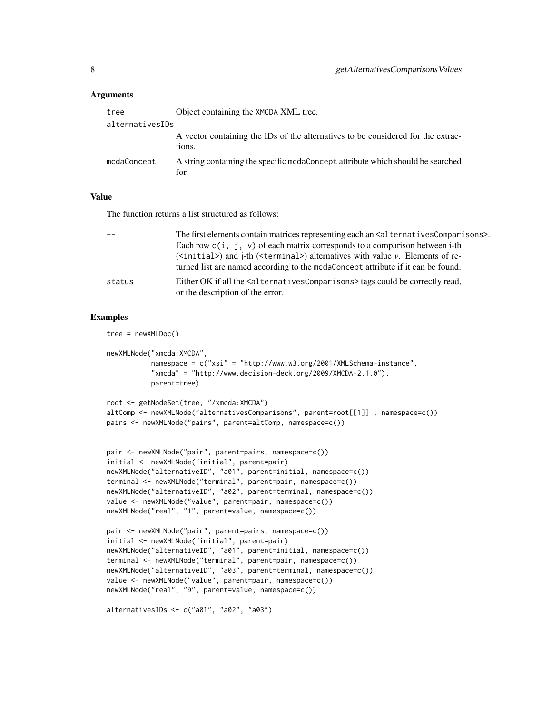#### Arguments

| tree            | Object containing the XMCDA XML tree.                                                      |
|-----------------|--------------------------------------------------------------------------------------------|
| alternativesIDs |                                                                                            |
|                 | A vector containing the IDs of the alternatives to be considered for the extrac-<br>tions. |
| mcdaConcept     | A string containing the specific medaConcept attribute which should be searched<br>for.    |

#### Value

The function returns a list structured as follows:

|        | The first elements contain matrices representing each an $\leq$ alternatives Comparisons>.<br>Each row $c(i, j, v)$ of each matrix corresponds to a comparison between i-th<br>$(\text{similar})$ and $\text{i-th}$ ( <terminal>) alternatives with value v. Elements of re-<br/>turned list are named according to the mcdaConcept attribute if it can be found.</terminal> |
|--------|------------------------------------------------------------------------------------------------------------------------------------------------------------------------------------------------------------------------------------------------------------------------------------------------------------------------------------------------------------------------------|
| status | Either OK if all the <alternativescomparisons> tags could be correctly read,<br/>or the description of the error.</alternativescomparisons>                                                                                                                                                                                                                                  |

```
tree = newXMLDoc()
newXMLNode("xmcda:XMCDA",
           namespace = c("xsi" = "http://www.w3.org/2001/XMLSchema-instance",
           "x \text{mcda}" = "http://www.decision-deck.org/2009/XMCDA-2.1.0").parent=tree)
```

```
root <- getNodeSet(tree, "/xmcda:XMCDA")
altComp <- newXMLNode("alternativesComparisons", parent=root[[1]] , namespace=c())
pairs <- newXMLNode("pairs", parent=altComp, namespace=c())
```

```
pair <- newXMLNode("pair", parent=pairs, namespace=c())
initial <- newXMLNode("initial", parent=pair)
newXMLNode("alternativeID", "a01", parent=initial, namespace=c())
terminal <- newXMLNode("terminal", parent=pair, namespace=c())
newXMLNode("alternativeID", "a02", parent=terminal, namespace=c())
value <- newXMLNode("value", parent=pair, namespace=c())
newXMLNode("real", "1", parent=value, namespace=c())
```

```
pair <- newXMLNode("pair", parent=pairs, namespace=c())
initial <- newXMLNode("initial", parent=pair)
newXMLNode("alternativeID", "a01", parent=initial, namespace=c())
terminal <- newXMLNode("terminal", parent=pair, namespace=c())
newXMLNode("alternativeID", "a03", parent=terminal, namespace=c())
value <- newXMLNode("value", parent=pair, namespace=c())
newXMLNode("real", "9", parent=value, namespace=c())
```

```
alternativesIDs <- c("a01", "a02", "a03")
```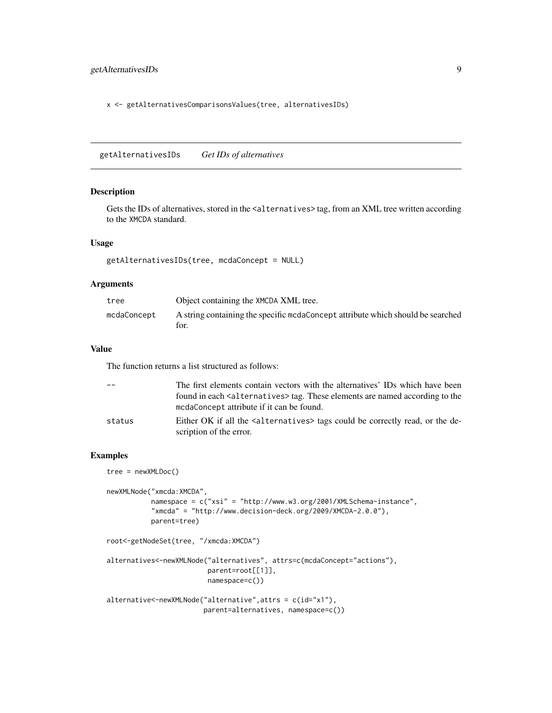## <span id="page-8-0"></span>getAlternativesIDs 9

x <- getAlternativesComparisonsValues(tree, alternativesIDs)

getAlternativesIDs *Get IDs of alternatives*

#### Description

Gets the IDs of alternatives, stored in the <alternatives>tag, from an XML tree written according to the XMCDA standard.

## Usage

getAlternativesIDs(tree, mcdaConcept = NULL)

#### Arguments

| tree        | Object containing the XMCDA XML tree.                                                   |
|-------------|-----------------------------------------------------------------------------------------|
| mcdaConcept | A string containing the specific medaConcept attribute which should be searched<br>for. |

#### Value

The function returns a list structured as follows:

|        | The first elements contain vectors with the alternatives' IDs which have been<br>found in each <alternatives>tag. These elements are named according to the<br/>modaConcept attribute if it can be found.</alternatives> |
|--------|--------------------------------------------------------------------------------------------------------------------------------------------------------------------------------------------------------------------------|
| status | Either OK if all the salternatives hags could be correctly read, or the de-<br>scription of the error.                                                                                                                   |

## Examples

tree = newXMLDoc()

```
newXMLNode("xmcda:XMCDA",
          namespace = c("xsi" = "http://www.w3.org/2001/XMLSchema-instance",
          "xmcda" = "http://www.decision-deck.org/2009/XMCDA-2.0.0"),
          parent=tree)
root<-getNodeSet(tree, "/xmcda:XMCDA")
```

```
alternatives<-newXMLNode("alternatives", attrs=c(mcdaConcept="actions"),
                         parent=root[[1]],
                        namespace=c())
```

```
alternative<-newXMLNode("alternative",attrs = c(id="x1"),
                       parent=alternatives, namespace=c())
```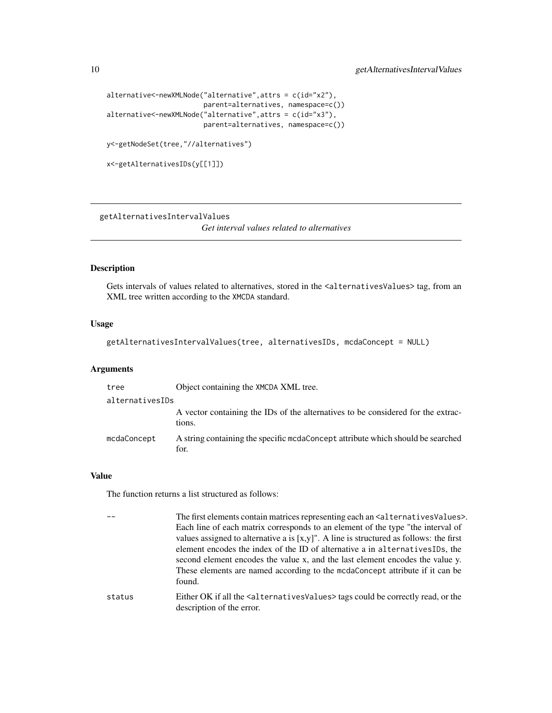```
alternative<-newXMLNode("alternative",attrs = c(id="x2"),
                        parent=alternatives, namespace=c())
alternative<-newXMLNode("alternative",attrs = c(id="x3"),
                        parent=alternatives, namespace=c())
y<-getNodeSet(tree,"//alternatives")
```

```
x<-getAlternativesIDs(y[[1]])
```
getAlternativesIntervalValues

*Get interval values related to alternatives*

#### Description

Gets intervals of values related to alternatives, stored in the <alternativesValues> tag, from an XML tree written according to the XMCDA standard.

#### Usage

getAlternativesIntervalValues(tree, alternativesIDs, mcdaConcept = NULL)

## Arguments

| tree            | Object containing the XMCDA XML tree.                                                      |
|-----------------|--------------------------------------------------------------------------------------------|
| alternativesIDs |                                                                                            |
|                 | A vector containing the IDs of the alternatives to be considered for the extrac-<br>tions. |
| mcdaConcept     | A string containing the specific medaConcept attribute which should be searched<br>for.    |

#### Value

```
-- The first elements contain matrices representing each an <alternativesValues>.
                  Each line of each matrix corresponds to an element of the type "the interval of
                  values assigned to alternative a is [x,y]'. A line is structured as follows: the first
                  element encodes the index of the ID of alternative a in alternativesIDs, the
                  second element encodes the value x, and the last element encodes the value y.
                  These elements are named according to the mcdaConcept attribute if it can be
                  found.
status Either OK if all the <alternativesValues> tags could be correctly read, or the
                  description of the error.
```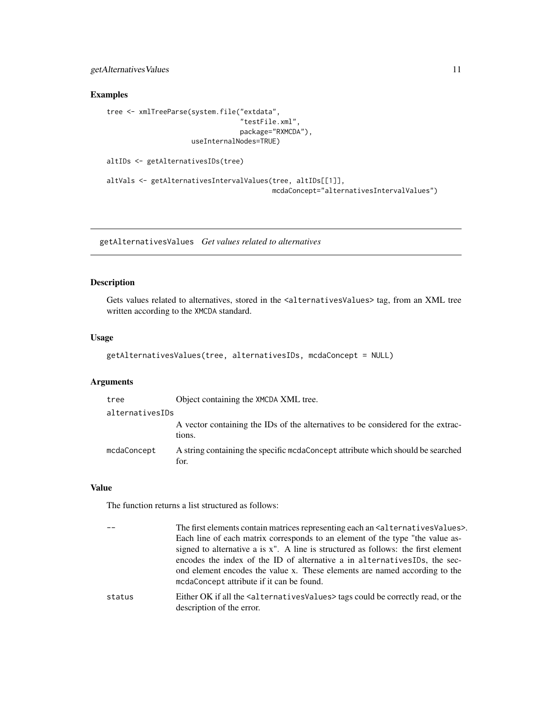<span id="page-10-0"></span>getAlternativesValues 11

## Examples

```
tree <- xmlTreeParse(system.file("extdata",
                                 "testFile.xml",
                                 package="RXMCDA"),
                     useInternalNodes=TRUE)
```

```
altIDs <- getAlternativesIDs(tree)
```

```
altVals <- getAlternativesIntervalValues(tree, altIDs[[1]],
                                        mcdaConcept="alternativesIntervalValues")
```
getAlternativesValues *Get values related to alternatives*

## Description

Gets values related to alternatives, stored in the <alternativesValues> tag, from an XML tree written according to the XMCDA standard.

## Usage

```
getAlternativesValues(tree, alternativesIDs, mcdaConcept = NULL)
```
## Arguments

| tree            | Object containing the XMCDA XML tree.                                                      |
|-----------------|--------------------------------------------------------------------------------------------|
| alternativesIDs |                                                                                            |
|                 | A vector containing the IDs of the alternatives to be considered for the extrac-<br>tions. |
| mcdaConcept     | A string containing the specific medaConcept attribute which should be searched<br>for.    |

## Value

| The first elements contain matrices representing each an <alternativesvalues>.</alternativesvalues>                   |
|-----------------------------------------------------------------------------------------------------------------------|
| Each line of each matrix corresponds to an element of the type "the value as-                                         |
| signed to alternative a is x". A line is structured as follows: the first element                                     |
| encodes the index of the ID of alternative a in alternativesIDs, the sec-                                             |
| ond element encodes the value x. These elements are named according to the                                            |
| modaConcept attribute if it can be found.                                                                             |
| Either OK if all the $\leq$ alternatives Values $>$ tags could be correctly read, or the<br>description of the error. |
|                                                                                                                       |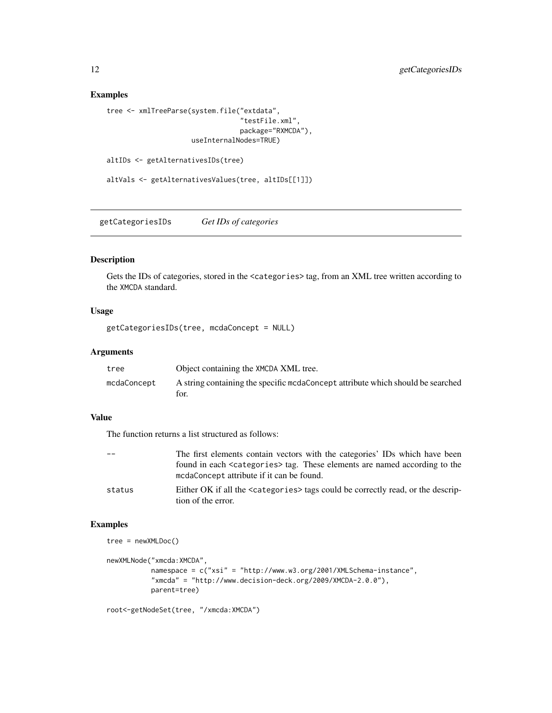## Examples

```
tree <- xmlTreeParse(system.file("extdata",
                                 "testFile.xml",
                                 package="RXMCDA"),
                     useInternalNodes=TRUE)
```

```
altIDs <- getAlternativesIDs(tree)
```
altVals <- getAlternativesValues(tree, altIDs[[1]])

getCategoriesIDs *Get IDs of categories*

## Description

Gets the IDs of categories, stored in the <categories> tag, from an XML tree written according to the XMCDA standard.

## Usage

getCategoriesIDs(tree, mcdaConcept = NULL)

## Arguments

| tree        | Object containing the XMCDA XML tree.                                           |
|-------------|---------------------------------------------------------------------------------|
| mcdaConcept | A string containing the specific mcdaConcept attribute which should be searched |
|             | for.                                                                            |

## Value

The function returns a list structured as follows:

| $ -$   | The first elements contain vectors with the categories' IDs which have been                                                          |
|--------|--------------------------------------------------------------------------------------------------------------------------------------|
|        | found in each <categories> tag. These elements are named according to the<br/>mcdaConcept attribute if it can be found.</categories> |
| status | Either OK if all the <categories> tags could be correctly read, or the descrip-<br/>tion of the error.</categories>                  |

```
tree = newXMLDoc()
```

```
newXMLNode("xmcda:XMCDA",
          namespace = c("xsi" = "http://www.w3.org/2001/XMLSchema-instance",
          "xmcda" = "http://www.decision-deck.org/2009/XMCDA-2.0.0"),
          parent=tree)
```

```
root<-getNodeSet(tree, "/xmcda:XMCDA")
```
<span id="page-11-0"></span>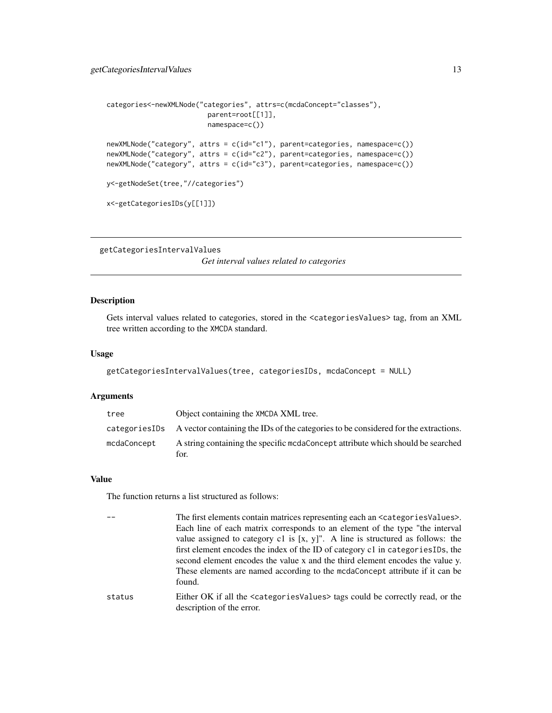```
categories<-newXMLNode("categories", attrs=c(mcdaConcept="classes"),
                         parent=root[[1]],
                         namespace=c())
newXMLNode("category", attrs = c(id="c1"), parent=categories, namespace=c())
newXMLNode("category", attrs = c(id="c2"), parent=categories, namespace=c())
newXMLNode("category", attrs = c(id="c3"), parent=categories, namespace=c())
```

```
y<-getNodeSet(tree,"//categories")
```

```
x<-getCategoriesIDs(y[[1]])
```

```
getCategoriesIntervalValues
```
*Get interval values related to categories*

#### Description

Gets interval values related to categories, stored in the <categoriesValues> tag, from an XML tree written according to the XMCDA standard.

#### Usage

```
getCategoriesIntervalValues(tree, categoriesIDs, mcdaConcept = NULL)
```
#### **Arguments**

| tree        | Object containing the XMCDA XML tree.                                                                                      |
|-------------|----------------------------------------------------------------------------------------------------------------------------|
|             | categories ID <sub>s</sub> A vector containing the ID <sub>s</sub> of the categories to be considered for the extractions. |
| mcdaConcept | A string containing the specific medaConcept attribute which should be searched<br>for.                                    |

#### Value

The function returns a list structured as follows:

```
The first elements contain matrices representing each an \leq at egoriesValues>.
                  Each line of each matrix corresponds to an element of the type "the interval
                  value assigned to category c1 is [x, y]". A line is structured as follows: the
                  first element encodes the index of the ID of category c1 in categoriesIDs, the
                  second element encodes the value x and the third element encodes the value y.
                  These elements are named according to the mcdaConcept attribute if it can be
                  found.
status Either OK if all the <categoriesValues> tags could be correctly read, or the
```
description of the error.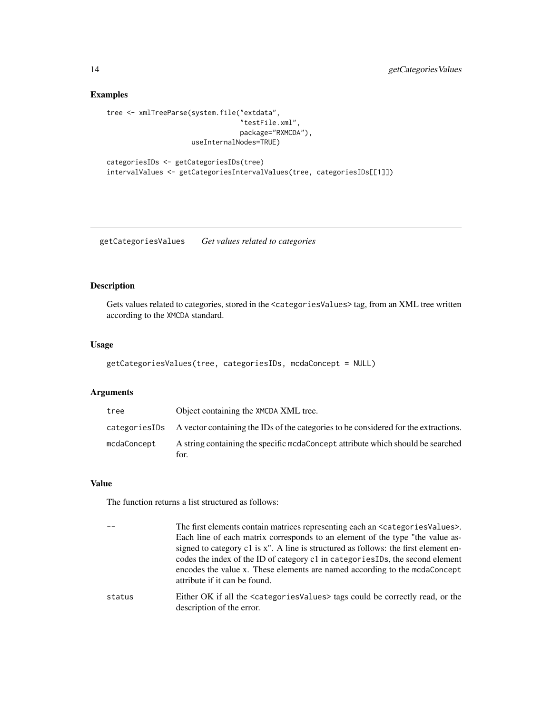## Examples

```
tree <- xmlTreeParse(system.file("extdata",
                                 "testFile.xml",
                                 package="RXMCDA"),
                     useInternalNodes=TRUE)
```

```
categoriesIDs <- getCategoriesIDs(tree)
intervalValues <- getCategoriesIntervalValues(tree, categoriesIDs[[1]])
```
getCategoriesValues *Get values related to categories*

## Description

Gets values related to categories, stored in the <categoriesValues> tag, from an XML tree written according to the XMCDA standard.

#### Usage

```
getCategoriesValues(tree, categoriesIDs, mcdaConcept = NULL)
```
## Arguments

| tree        | Object containing the XMCDA XML tree.                                                              |
|-------------|----------------------------------------------------------------------------------------------------|
|             | categories IDs A vector containing the IDs of the categories to be considered for the extractions. |
| mcdaConcept | A string containing the specific moda Concept attribute which should be searched<br>for.           |

#### Value

|        | The first elements contain matrices representing each an $\leq$ at examples alues >.<br>Each line of each matrix corresponds to an element of the type "the value as-<br>signed to category c1 is x". A line is structured as follows: the first element en-<br>codes the index of the ID of category c1 in categories IDs, the second element<br>encodes the value x. These elements are named according to the mcdaConcept<br>attribute if it can be found. |
|--------|---------------------------------------------------------------------------------------------------------------------------------------------------------------------------------------------------------------------------------------------------------------------------------------------------------------------------------------------------------------------------------------------------------------------------------------------------------------|
| status | Either OK if all the <categoriesvalues> tags could be correctly read, or the<br/>description of the error.</categoriesvalues>                                                                                                                                                                                                                                                                                                                                 |

<span id="page-13-0"></span>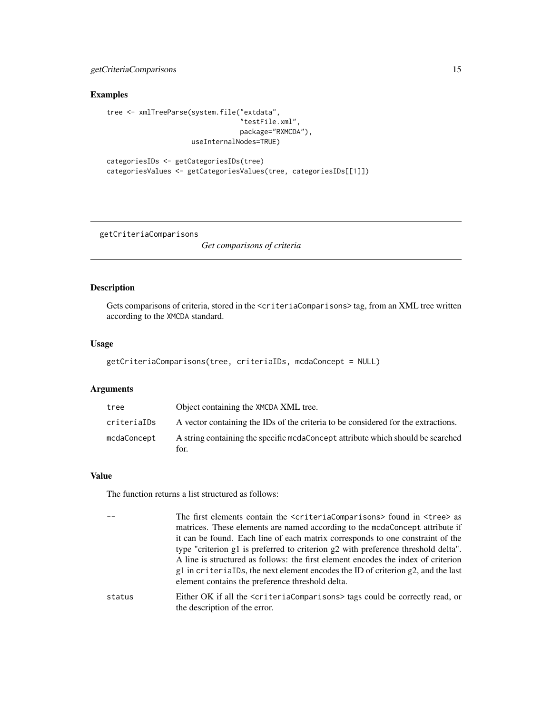## <span id="page-14-0"></span>getCriteriaComparisons 15

#### Examples

```
tree <- xmlTreeParse(system.file("extdata",
                                  "testFile.xml",
                                 package="RXMCDA"),
                     useInternalNodes=TRUE)
```

```
categoriesIDs <- getCategoriesIDs(tree)
categoriesValues <- getCategoriesValues(tree, categoriesIDs[[1]])
```
getCriteriaComparisons

*Get comparisons of criteria*

#### Description

Gets comparisons of criteria, stored in the <criteriaComparisons> tag, from an XML tree written according to the XMCDA standard.

#### Usage

```
getCriteriaComparisons(tree, criteriaIDs, mcdaConcept = NULL)
```
#### Arguments

| tree        | Object containing the XMCDA XML tree.                                                   |
|-------------|-----------------------------------------------------------------------------------------|
| criteriaIDs | A vector containing the IDs of the criteria to be considered for the extractions.       |
| mcdaConcept | A string containing the specific medaConcept attribute which should be searched<br>for. |

## Value

```
-- The first elements contain the <criteriaComparisons> found in <tree> as
                  matrices. These elements are named according to the mcdaConcept attribute if
                  it can be found. Each line of each matrix corresponds to one constraint of the
                  type "criterion g1 is preferred to criterion g2 with preference threshold delta".
                  A line is structured as follows: the first element encodes the index of criterion
                  g1 in criteriaIDs, the next element encodes the ID of criterion g2, and the last
                  element contains the preference threshold delta.
status Either OK if all the <criteriaComparisons> tags could be correctly read, or
                  the description of the error.
```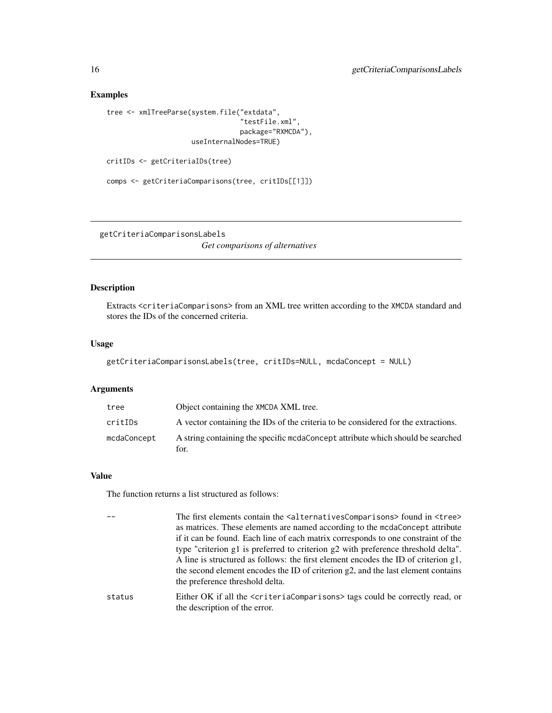#### Examples

```
tree <- xmlTreeParse(system.file("extdata",
                                  "testFile.xml",
                                 package="RXMCDA"),
                     useInternalNodes=TRUE)
```
critIDs <- getCriteriaIDs(tree)

```
comps <- getCriteriaComparisons(tree, critIDs[[1]])
```
getCriteriaComparisonsLabels

*Get comparisons of alternatives*

#### **Description**

Extracts <criteriaComparisons> from an XML tree written according to the XMCDA standard and stores the IDs of the concerned criteria.

#### Usage

```
getCriteriaComparisonsLabels(tree, critIDs=NULL, mcdaConcept = NULL)
```
#### Arguments

| tree        | Object containing the XMCDA XML tree.                                                    |
|-------------|------------------------------------------------------------------------------------------|
| critIDs     | A vector containing the IDs of the criteria to be considered for the extractions.        |
| mcdaConcept | A string containing the specific moda Concept attribute which should be searched<br>for. |

#### Value

```
-- The first elements contain the <alternativesComparisons> found in <tree>
                  as matrices. These elements are named according to the mcdaConcept attribute
                  if it can be found. Each line of each matrix corresponds to one constraint of the
                  type "criterion g1 is preferred to criterion g2 with preference threshold delta".
                  A line is structured as follows: the first element encodes the ID of criterion g1,
                  the second element encodes the ID of criterion g2, and the last element contains
                  the preference threshold delta.
status Either OK if all the <criteriaComparisons> tags could be correctly read, or
                  the description of the error.
```
<span id="page-15-0"></span>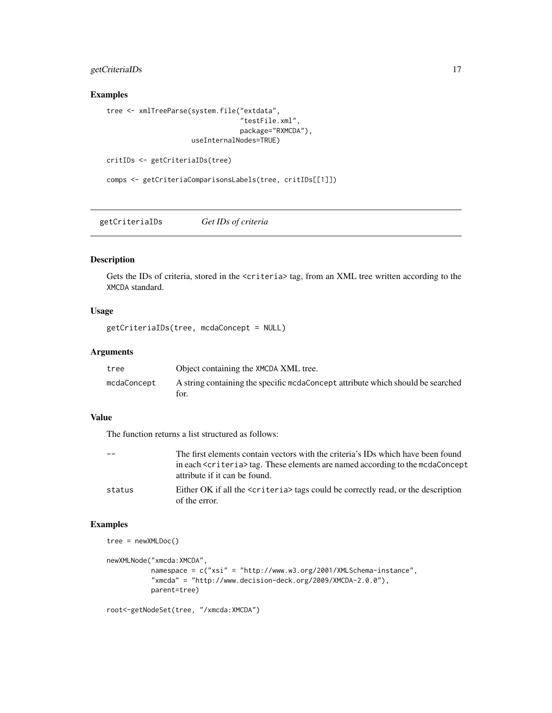## <span id="page-16-0"></span>getCriteriaIDs 17

## Examples

```
tree <- xmlTreeParse(system.file("extdata",
                                 "testFile.xml",
                                 package="RXMCDA"),
                     useInternalNodes=TRUE)
```

```
critIDs <- getCriteriaIDs(tree)
```

```
comps <- getCriteriaComparisonsLabels(tree, critIDs[[1]])
```
getCriteriaIDs *Get IDs of criteria*

## Description

Gets the IDs of criteria, stored in the <criteria> tag, from an XML tree written according to the XMCDA standard.

## Usage

getCriteriaIDs(tree, mcdaConcept = NULL)

## Arguments

| tree        | Object containing the XMCDA XML tree.                                           |
|-------------|---------------------------------------------------------------------------------|
| mcdaConcept | A string containing the specific mcdaConcept attribute which should be searched |
|             | for.                                                                            |

## Value

The function returns a list structured as follows:

| $-$    | The first elements contain vectors with the criteria's IDs which have been found                                           |
|--------|----------------------------------------------------------------------------------------------------------------------------|
|        | in each <criteria> tag. These elements are named according to the mcdaConcept<br/>attribute if it can be found.</criteria> |
| status | Either OK if all the <criteria> tags could be correctly read, or the description<br/>of the error.</criteria>              |

```
tree = newXMLDoc()
```

```
newXMLNode("xmcda:XMCDA",
          namespace = c("xsi" = "http://www.w3.org/2001/XMLSchema-instance",
          "xmcda" = "http://www.decision-deck.org/2009/XMCDA-2.0.0"),
          parent=tree)
```

```
root<-getNodeSet(tree, "/xmcda:XMCDA")
```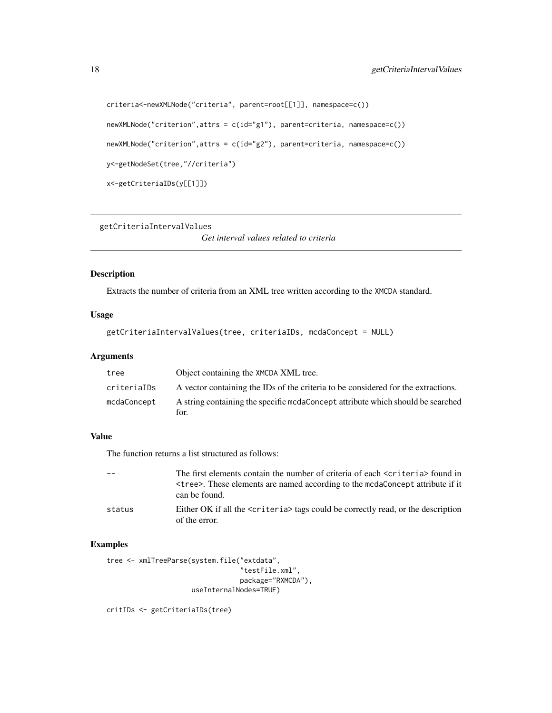```
criteria<-newXMLNode("criteria", parent=root[[1]], namespace=c())
newXMLNode("criterion",attrs = c(id="g1"), parent=criteria, namespace=c())
newXMLNode("criterion",attrs = c(id="g2"), parent=criteria, namespace=c())
y<-getNodeSet(tree,"//criteria")
x<-getCriteriaIDs(y[[1]])
```
getCriteriaIntervalValues

*Get interval values related to criteria*

## Description

Extracts the number of criteria from an XML tree written according to the XMCDA standard.

## Usage

```
getCriteriaIntervalValues(tree, criteriaIDs, mcdaConcept = NULL)
```
## Arguments

| tree        | Object containing the XMCDA XML tree.                                                    |
|-------------|------------------------------------------------------------------------------------------|
| criterialDs | A vector containing the IDs of the criteria to be considered for the extractions.        |
| mcdaConcept | A string containing the specific moda Concept attribute which should be searched<br>for. |

## Value

The function returns a list structured as follows:

|        | The first elements contain the number of criteria of each <criteria> found in<br/>strees. These elements are named according to the mcdaConcept attribute if it<br/>can be found.</criteria> |
|--------|----------------------------------------------------------------------------------------------------------------------------------------------------------------------------------------------|
| status | Either OK if all the $\langle$ criteria $\rangle$ tags could be correctly read, or the description<br>of the error.                                                                          |

## Examples

```
tree <- xmlTreeParse(system.file("extdata",
                                 "testFile.xml",
                                 package="RXMCDA"),
                     useInternalNodes=TRUE)
```
critIDs <- getCriteriaIDs(tree)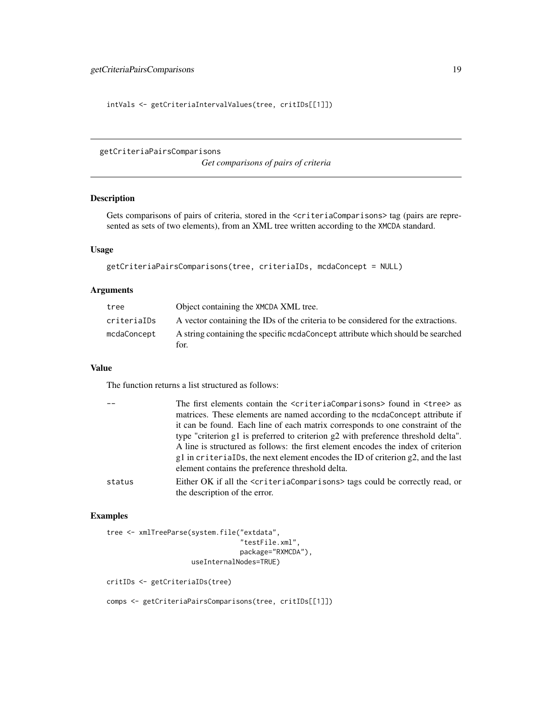<span id="page-18-0"></span>intVals <- getCriteriaIntervalValues(tree, critIDs[[1]])

getCriteriaPairsComparisons

*Get comparisons of pairs of criteria*

# Description

Gets comparisons of pairs of criteria, stored in the <criteriaComparisons> tag (pairs are represented as sets of two elements), from an XML tree written according to the XMCDA standard.

#### Usage

```
getCriteriaPairsComparisons(tree, criteriaIDs, mcdaConcept = NULL)
```
#### Arguments

| tree        | Object containing the XMCDA XML tree.                                                   |
|-------------|-----------------------------------------------------------------------------------------|
| criterialDs | A vector containing the IDs of the criteria to be considered for the extractions.       |
| mcdaConcept | A string containing the specific medaConcept attribute which should be searched<br>for. |

#### Value

The function returns a list structured as follows:

|        | The first elements contain the <criteriacomparisons> found in <tree> as</tree></criteriacomparisons>               |
|--------|--------------------------------------------------------------------------------------------------------------------|
|        | matrices. These elements are named according to the mcdaConcept attribute if                                       |
|        | it can be found. Each line of each matrix corresponds to one constraint of the                                     |
|        | type "criterion g1 is preferred to criterion g2 with preference threshold delta".                                  |
|        | A line is structured as follows: the first element encodes the index of criterion                                  |
|        | $g1$ in criterial Ds, the next element encodes the ID of criterion $g2$ , and the last                             |
|        | element contains the preference threshold delta.                                                                   |
| status | Either OK if all the $\leq$ criteriaComparisons> tags could be correctly read, or<br>the description of the error. |

## Examples

```
tree <- xmlTreeParse(system.file("extdata",
                                 "testFile.xml",
                                 package="RXMCDA"),
                     useInternalNodes=TRUE)
critIDs <- getCriteriaIDs(tree)
```
comps <- getCriteriaPairsComparisons(tree, critIDs[[1]])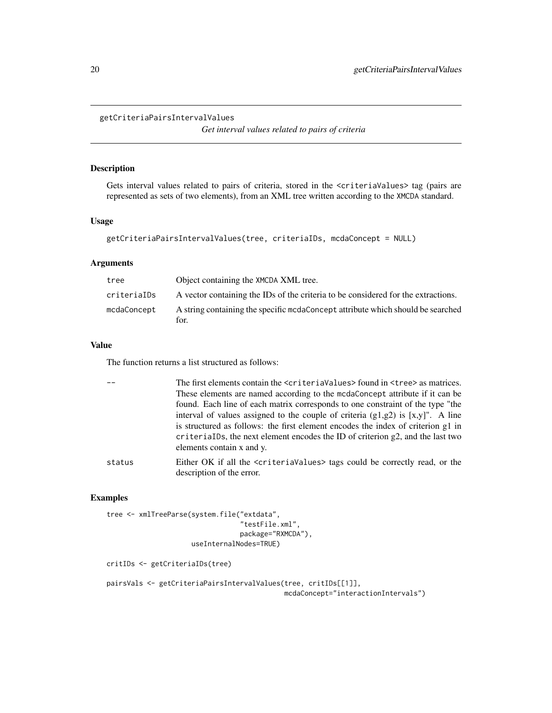#### <span id="page-19-0"></span>getCriteriaPairsIntervalValues

*Get interval values related to pairs of criteria*

## Description

Gets interval values related to pairs of criteria, stored in the <criteriaValues> tag (pairs are represented as sets of two elements), from an XML tree written according to the XMCDA standard.

#### Usage

```
getCriteriaPairsIntervalValues(tree, criteriaIDs, mcdaConcept = NULL)
```
## Arguments

| tree        | Object containing the XMCDA XML tree.                                                    |
|-------------|------------------------------------------------------------------------------------------|
| criteriaIDs | A vector containing the IDs of the criteria to be considered for the extractions.        |
| mcdaConcept | A string containing the specific moda Concept attribute which should be searched<br>for. |

#### Value

The function returns a list structured as follows:

|        | The first elements contain the <criteriavalues> found in <tree> as matrices.<br/>These elements are named according to the mcdaConcept attribute if it can be<br/>found. Each line of each matrix corresponds to one constraint of the type "the<br/>interval of values assigned to the couple of criteria <math>(g1,g2)</math> is [x,y]". A line<br/>is structured as follows: the first element encodes the index of criterion g1 in<br/>criterialDs, the next element encodes the ID of criterion <math>g2</math>, and the last two<br/>elements contain x and y.</tree></criteriavalues> |
|--------|----------------------------------------------------------------------------------------------------------------------------------------------------------------------------------------------------------------------------------------------------------------------------------------------------------------------------------------------------------------------------------------------------------------------------------------------------------------------------------------------------------------------------------------------------------------------------------------------|
| status | Either OK if all the <criteriavalues> tags could be correctly read, or the<br/>description of the error.</criteriavalues>                                                                                                                                                                                                                                                                                                                                                                                                                                                                    |

## Examples

```
tree <- xmlTreeParse(system.file("extdata",
                                  "testFile.xml",
                                 package="RXMCDA"),
                     useInternalNodes=TRUE)
```
critIDs <- getCriteriaIDs(tree)

```
pairsVals <- getCriteriaPairsIntervalValues(tree, critIDs[[1]],
                                           mcdaConcept="interactionIntervals")
```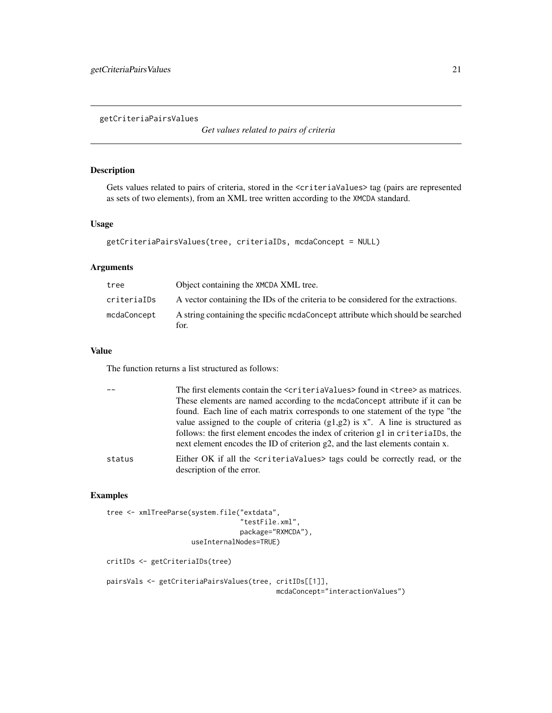<span id="page-20-0"></span>getCriteriaPairsValues

*Get values related to pairs of criteria*

## Description

Gets values related to pairs of criteria, stored in the <criteriaValues> tag (pairs are represented as sets of two elements), from an XML tree written according to the XMCDA standard.

## Usage

```
getCriteriaPairsValues(tree, criteriaIDs, mcdaConcept = NULL)
```
## Arguments

| tree        | Object containing the XMCDA XML tree.                                                    |
|-------------|------------------------------------------------------------------------------------------|
| criterialDs | A vector containing the IDs of the criteria to be considered for the extractions.        |
| mcdaConcept | A string containing the specific moda Concept attribute which should be searched<br>for. |

## Value

The function returns a list structured as follows:

|        | The first elements contain the <criteriavalues> found in <tree> as matrices.<br/>These elements are named according to the mcdaConcept attribute if it can be<br/>found. Each line of each matrix corresponds to one statement of the type "the</tree></criteriavalues> |
|--------|-------------------------------------------------------------------------------------------------------------------------------------------------------------------------------------------------------------------------------------------------------------------------|
|        | value assigned to the couple of criteria $(g1,g2)$ is x". A line is structured as<br>follows: the first element encodes the index of criterion g1 in criterialDs, the<br>next element encodes the ID of criterion g2, and the last elements contain x.                  |
| status | Either OK if all the <criteriavalues> tags could be correctly read, or the<br/>description of the error.</criteriavalues>                                                                                                                                               |

```
tree <- xmlTreeParse(system.file("extdata",
                                  "testFile.xml",
                                 package="RXMCDA"),
                     useInternalNodes=TRUE)
```

```
critIDs <- getCriteriaIDs(tree)
```

```
pairsVals <- getCriteriaPairsValues(tree, critIDs[[1]],
                                         mcdaConcept="interactionValues")
```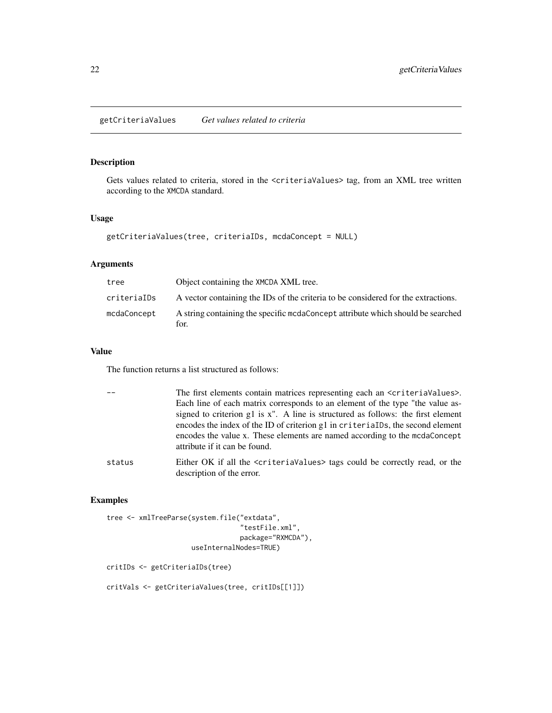<span id="page-21-0"></span>getCriteriaValues *Get values related to criteria*

## Description

Gets values related to criteria, stored in the <criteriaValues> tag, from an XML tree written according to the XMCDA standard.

## Usage

getCriteriaValues(tree, criteriaIDs, mcdaConcept = NULL)

## Arguments

| tree        | Object containing the XMCDA XML tree.                                                    |
|-------------|------------------------------------------------------------------------------------------|
| criterialDs | A vector containing the IDs of the criteria to be considered for the extractions.        |
| mcdaConcept | A string containing the specific moda Concept attribute which should be searched<br>for. |

## Value

The function returns a list structured as follows:

|        | The first elements contain matrices representing each an $\leq$ criteriaValues>.<br>Each line of each matrix corresponds to an element of the type "the value as-<br>signed to criterion g1 is x". A line is structured as follows: the first element<br>encodes the index of the ID of criterion g1 in criterialDs, the second element<br>encodes the value x. These elements are named according to the mcdaConcept<br>attribute if it can be found. |
|--------|--------------------------------------------------------------------------------------------------------------------------------------------------------------------------------------------------------------------------------------------------------------------------------------------------------------------------------------------------------------------------------------------------------------------------------------------------------|
| status | Either OK if all the <criteriavalues> tags could be correctly read, or the<br/>description of the error.</criteriavalues>                                                                                                                                                                                                                                                                                                                              |

# Examples

```
tree <- xmlTreeParse(system.file("extdata",
                                 "testFile.xml",
                                 package="RXMCDA"),
                     useInternalNodes=TRUE)
```
critIDs <- getCriteriaIDs(tree)

critVals <- getCriteriaValues(tree, critIDs[[1]])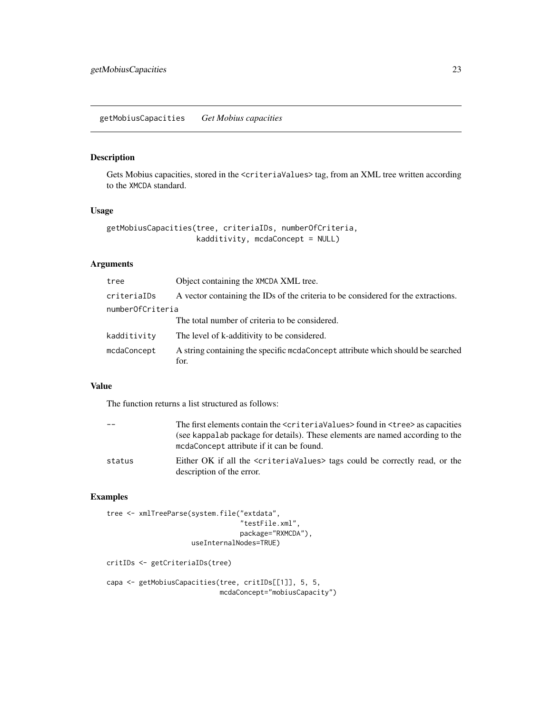## <span id="page-22-0"></span>Description

Gets Mobius capacities, stored in the <criteriaValues>tag, from an XML tree written according to the XMCDA standard.

## Usage

```
getMobiusCapacities(tree, criteriaIDs, numberOfCriteria,
                    kadditivity, mcdaConcept = NULL)
```
## Arguments

| tree             | Object containing the XMCDA XML tree.                                                   |
|------------------|-----------------------------------------------------------------------------------------|
| criteriaIDs      | A vector containing the IDs of the criteria to be considered for the extractions.       |
| numberOfCriteria |                                                                                         |
|                  | The total number of criteria to be considered.                                          |
| kadditivity      | The level of k-additivity to be considered.                                             |
| mcdaConcept      | A string containing the specific mcdaConcept attribute which should be searched<br>for. |
|                  |                                                                                         |

## Value

The function returns a list structured as follows:

|        | The first elements contain the <criteriavalues> found in <tree> as capacities</tree></criteriavalues>                      |
|--------|----------------------------------------------------------------------------------------------------------------------------|
|        | (see kappalab package for details). These elements are named according to the<br>mcdaConcept attribute if it can be found. |
| status | Either OK if all the scriteria Values hags could be correctly read, or the                                                 |
|        | description of the error.                                                                                                  |

## Examples

```
tree <- xmlTreeParse(system.file("extdata",
                                  "testFile.xml",
                                 package="RXMCDA"),
                     useInternalNodes=TRUE)
```
critIDs <- getCriteriaIDs(tree)

```
capa <- getMobiusCapacities(tree, critIDs[[1]], 5, 5,
                           mcdaConcept="mobiusCapacity")
```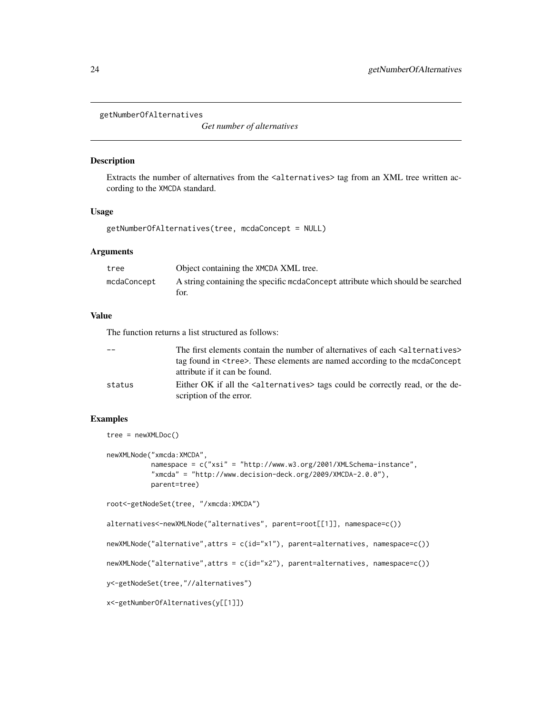```
getNumberOfAlternatives
```
*Get number of alternatives*

#### Description

Extracts the number of alternatives from the <alternatives> tag from an XML tree written according to the XMCDA standard.

#### Usage

```
getNumberOfAlternatives(tree, mcdaConcept = NULL)
```
## Arguments

| tree        | Object containing the XMCDA XML tree.                                                   |
|-------------|-----------------------------------------------------------------------------------------|
| mcdaConcept | A string containing the specific modaConcept attribute which should be searched<br>tor. |

#### Value

The function returns a list structured as follows:

| $ -$   | The first elements contain the number of alternatives of each <alternatives><br/>tag found in <tree>. These elements are named according to the mcdaConcept</tree></alternatives> |
|--------|-----------------------------------------------------------------------------------------------------------------------------------------------------------------------------------|
|        | attribute if it can be found.                                                                                                                                                     |
| status | Either OK if all the salternatives ags could be correctly read, or the de-                                                                                                        |
|        | scription of the error.                                                                                                                                                           |

## Examples

```
tree = newXMLDoc()
```

```
newXMLNode("xmcda:XMCDA",
           namespace = c("xsi" = "http://www.w3.org/2001/XMLSchema-instance",
           "xmcda" = "http://www.decision-deck.org/2009/XMCDA-2.0.0"),
           parent=tree)
```

```
root<-getNodeSet(tree, "/xmcda:XMCDA")
```
alternatives<-newXMLNode("alternatives", parent=root[[1]], namespace=c())

```
newXMLNode("alternative",attrs = c(id="x1"), parent=alternatives, namespace=c())
```

```
newXMLNode("alternative", attrs = c(id="x2"), parent=alternatives, namespace=c())
```

```
y<-getNodeSet(tree,"//alternatives")
```

```
x<-getNumberOfAlternatives(y[[1]])
```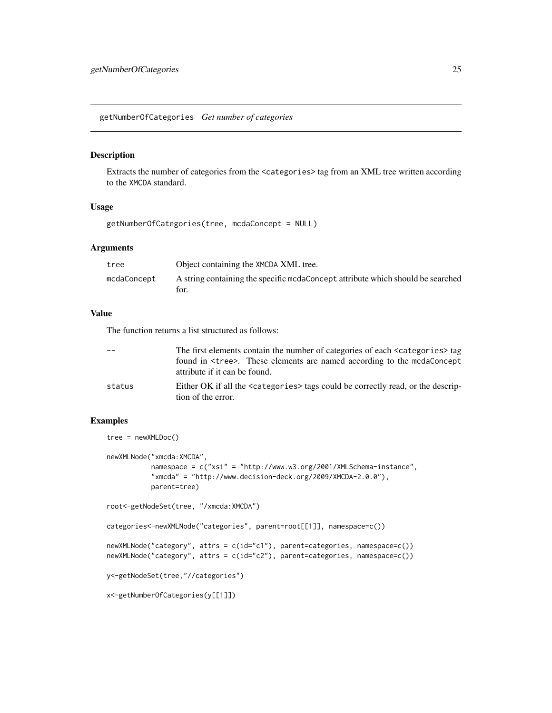<span id="page-24-0"></span>getNumberOfCategories *Get number of categories*

#### Description

Extracts the number of categories from the <categories> tag from an XML tree written according to the XMCDA standard.

## Usage

getNumberOfCategories(tree, mcdaConcept = NULL)

## Arguments

| tree        | Object containing the XMCDA XML tree.                                            |
|-------------|----------------------------------------------------------------------------------|
| mcdaConcept | A string containing the specific mode concept attribute which should be searched |
|             | for.                                                                             |

#### Value

The function returns a list structured as follows:

| $ -$   | The first elements contain the number of categories of each <categories> tag<br/>found in <tree>. These elements are named according to the mcdaConcept<br/>attribute if it can be found.</tree></categories> |
|--------|---------------------------------------------------------------------------------------------------------------------------------------------------------------------------------------------------------------|
| status | Either OK if all the <categories> tags could be correctly read, or the descrip-<br/>tion of the error.</categories>                                                                                           |

## Examples

tree = newXMLDoc()

```
newXMLNode("xmcda:XMCDA",
           namespace = c("xsi" = "http://www.w3.org/2001/XMLSchema-instance",
           "xmcda" = "http://www.decision-deck.org/2009/XMCDA-2.0.0"),
           parent=tree)
root<-getNodeSet(tree, "/xmcda:XMCDA")
categories<-newXMLNode("categories", parent=root[[1]], namespace=c())
newXMLNode("category", attrs = c(id="c1"), parent=categories, namespace=c())
newXMLNode("category", attrs = c(id="c2"), parent=categories, namespace=c())
y<-getNodeSet(tree,"//categories")
x<-getNumberOfCategories(y[[1]])
```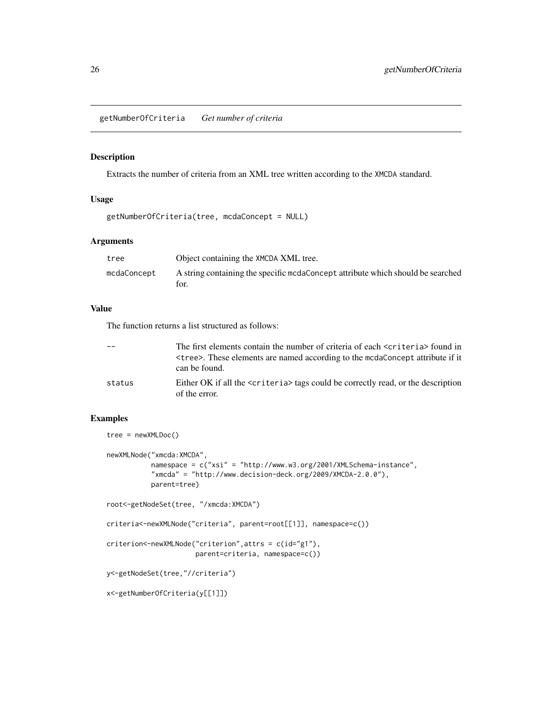<span id="page-25-0"></span>getNumberOfCriteria *Get number of criteria*

## Description

Extracts the number of criteria from an XML tree written according to the XMCDA standard.

## Usage

getNumberOfCriteria(tree, mcdaConcept = NULL)

#### Arguments

| tree        | Object containing the XMCDA XML tree.                                           |
|-------------|---------------------------------------------------------------------------------|
| mcdaConcept | A string containing the specific medaConcept attribute which should be searched |
|             | tor.                                                                            |

#### Value

The function returns a list structured as follows:

|        | The first elements contain the number of criteria of each <criteria> found in</criteria>                      |
|--------|---------------------------------------------------------------------------------------------------------------|
|        | <tree>. These elements are named according to the mcdaConcept attribute if it<br/>can be found.</tree>        |
| status | Either OK if all the <criteria> tags could be correctly read, or the description<br/>of the error.</criteria> |

```
tree = newXMLDoc()
newXMLNode("xmcda:XMCDA",
           namespace = c("xsi" = "http://www.w3.org/2001/XMLSchema-instance",
           "xmcda" = "http://www.decision-deck.org/2009/XMCDA-2.0.0"),
           parent=tree)
root<-getNodeSet(tree, "/xmcda:XMCDA")
criteria<-newXMLNode("criteria", parent=root[[1]], namespace=c())
criterion<-newXMLNode("criterion",attrs = c(id="g1"),
                      parent=criteria, namespace=c())
y<-getNodeSet(tree,"//criteria")
x<-getNumberOfCriteria(y[[1]])
```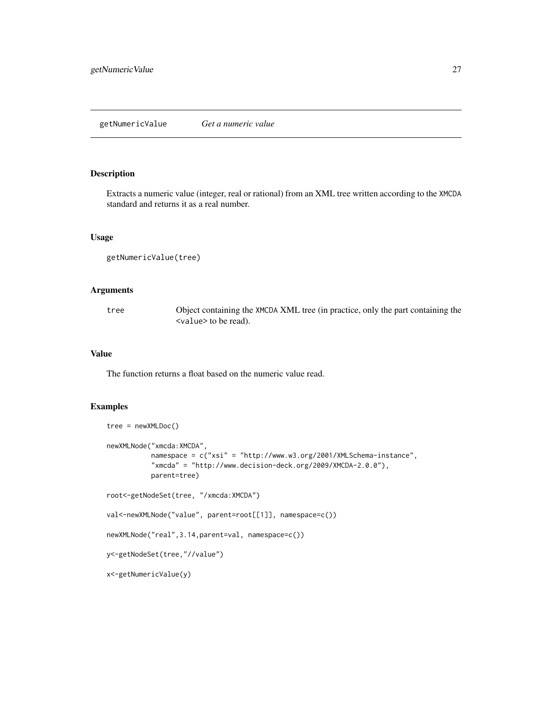## <span id="page-26-0"></span>Description

Extracts a numeric value (integer, real or rational) from an XML tree written according to the XMCDA standard and returns it as a real number.

## Usage

```
getNumericValue(tree)
```
## Arguments

tree Object containing the XMCDA XML tree (in practice, only the part containing the <value> to be read).

#### Value

The function returns a float based on the numeric value read.

```
tree = newXMLDoc()
newXMLNode("xmcda:XMCDA",
           namespace = c("xsi" = "http://www.w3.org/2001/XMLSchema-instance",
           "xmcda" = "http://www.decision-deck.org/2009/XMCDA-2.0.0"),
           parent=tree)
root<-getNodeSet(tree, "/xmcda:XMCDA")
val<-newXMLNode("value", parent=root[[1]], namespace=c())
newXMLNode("real",3.14,parent=val, namespace=c())
y<-getNodeSet(tree,"//value")
x<-getNumericValue(y)
```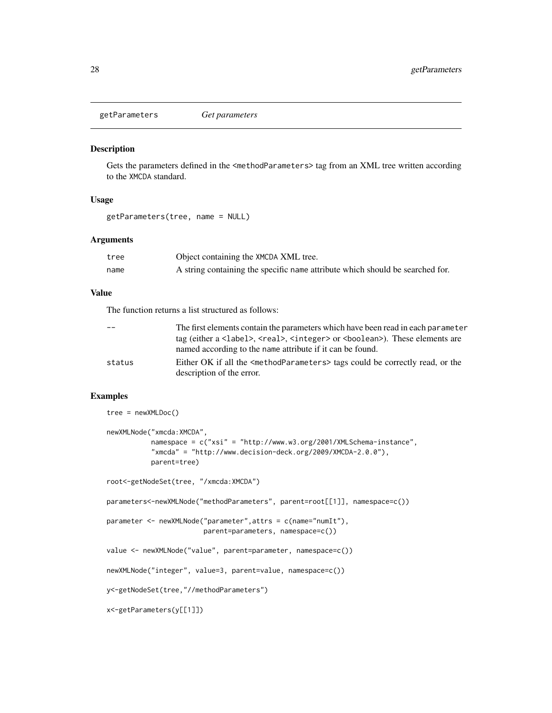<span id="page-27-0"></span>getParameters *Get parameters*

#### Description

Gets the parameters defined in the <methodParameters> tag from an XML tree written according to the XMCDA standard.

#### Usage

getParameters(tree, name = NULL)

#### Arguments

| tree | Object containing the XMCDA XML tree.                                         |
|------|-------------------------------------------------------------------------------|
| name | A string containing the specific name attribute which should be searched for. |

## Value

The function returns a list structured as follows:

| $-$    | The first elements contain the parameters which have been read in each parameter                            |
|--------|-------------------------------------------------------------------------------------------------------------|
|        | tag (either a <label>, <real>, <integer> or <br/>sboolean&gt;). These elements are</integer></real></label> |
|        | named according to the name attribute if it can be found.                                                   |
| status | Either OK if all the $\leq$ methodParameters> tags could be correctly read, or the                          |
|        | description of the error.                                                                                   |

```
tree = newXMLDoc()
newXMLNode("xmcda:XMCDA",
           namespace = c("xsi" = "http://www.w3.org/2001/XMLSchema-instance",
           "x \mod 2" = "http://www.decision-deck.org/2009/XMCDA-2.0.0"),
           parent=tree)
root<-getNodeSet(tree, "/xmcda:XMCDA")
parameters<-newXMLNode("methodParameters", parent=root[[1]], namespace=c())
parameter <- newXMLNode("parameter",attrs = c(name="numIt"),
                       parent=parameters, namespace=c())
value <- newXMLNode("value", parent=parameter, namespace=c())
newXMLNode("integer", value=3, parent=value, namespace=c())
y<-getNodeSet(tree,"//methodParameters")
x<-getParameters(y[[1]])
```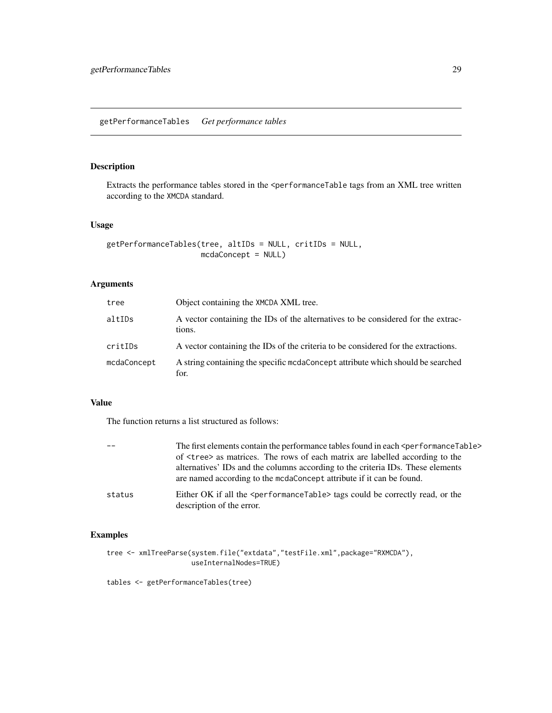## <span id="page-28-0"></span>Description

Extracts the performance tables stored in the <performanceTable tags from an XML tree written according to the XMCDA standard.

#### Usage

```
getPerformanceTables(tree, altIDs = NULL, critIDs = NULL,
                    mcdaConcept = NULL)
```
## Arguments

| tree        | Object containing the XMCDA XML tree.                                                      |
|-------------|--------------------------------------------------------------------------------------------|
| altIDs      | A vector containing the IDs of the alternatives to be considered for the extrac-<br>tions. |
| critIDs     | A vector containing the IDs of the criteria to be considered for the extractions.          |
| mcdaConcept | A string containing the specific medaConcept attribute which should be searched<br>for.    |

## Value

The function returns a list structured as follows:

|        | The first elements contain the performance tables found in each <performancetable><br/>of <tree> as matrices. The rows of each matrix are labelled according to the<br/>alternatives' IDs and the columns according to the criteria IDs. These elements<br/>are named according to the mode Concept attribute if it can be found.</tree></performancetable> |
|--------|-------------------------------------------------------------------------------------------------------------------------------------------------------------------------------------------------------------------------------------------------------------------------------------------------------------------------------------------------------------|
| status | Either OK if all the <performancetable> tags could be correctly read, or the<br/>description of the error.</performancetable>                                                                                                                                                                                                                               |

## Examples

```
tree <- xmlTreeParse(system.file("extdata","testFile.xml",package="RXMCDA"),
                     useInternalNodes=TRUE)
```
tables <- getPerformanceTables(tree)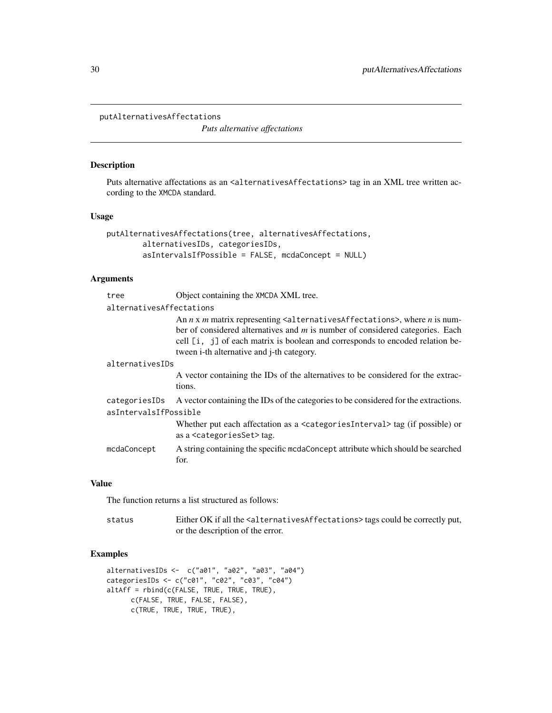<span id="page-29-0"></span>putAlternativesAffectations

*Puts alternative affectations*

## Description

Puts alternative affectations as an <alternativesAffectations> tag in an XML tree written according to the XMCDA standard.

#### Usage

```
putAlternativesAffectations(tree, alternativesAffectations,
        alternativesIDs, categoriesIDs,
        asIntervalsIfPossible = FALSE, mcdaConcept = NULL)
```
## Arguments

| tree                     | Object containing the XMCDA XML tree.                                                                                                                                                                                                                                                                     |  |
|--------------------------|-----------------------------------------------------------------------------------------------------------------------------------------------------------------------------------------------------------------------------------------------------------------------------------------------------------|--|
| alternativesAffectations |                                                                                                                                                                                                                                                                                                           |  |
|                          | An $n \times m$ matrix representing $\leq$ alternatives Affectations>, where $n$ is num-<br>ber of considered alternatives and $m$ is number of considered categories. Each<br>cell [i, j] of each matrix is boolean and corresponds to encoded relation be-<br>tween i-th alternative and j-th category. |  |
| alternativesIDs          |                                                                                                                                                                                                                                                                                                           |  |
|                          | A vector containing the IDs of the alternatives to be considered for the extrac-<br>tions.                                                                                                                                                                                                                |  |
| categoriesIDs            | A vector containing the IDs of the categories to be considered for the extractions.                                                                                                                                                                                                                       |  |
| asIntervalsIfPossible    |                                                                                                                                                                                                                                                                                                           |  |
|                          | Whether put each affectation as a $\leq$ ategories Interval $\geq$ tag (if possible) or<br>as a <categoriesset> tag.</categoriesset>                                                                                                                                                                      |  |
| mcdaConcept              | A string containing the specific medaConcept attribute which should be searched<br>for.                                                                                                                                                                                                                   |  |

## Value

The function returns a list structured as follows:

status Either OK if all the <alternativesAffectations> tags could be correctly put, or the description of the error.

```
alternativesIDs <- c("a01", "a02", "a03", "a04")
categoriesIDs <- c("c01", "c02", "c03", "c04")
altAff = rbind(c(FALSE, TRUE, TRUE, TRUE),
     c(FALSE, TRUE, FALSE, FALSE),
      c(TRUE, TRUE, TRUE, TRUE),
```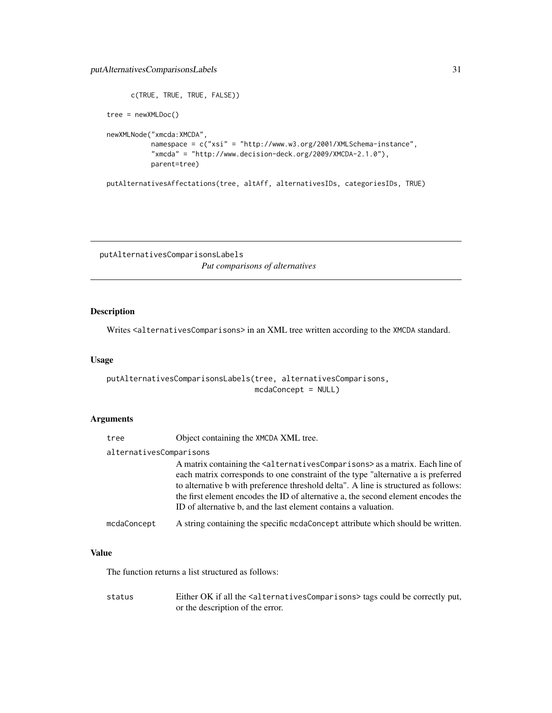## <span id="page-30-0"></span>putAlternativesComparisonsLabels 31

```
c(TRUE, TRUE, TRUE, FALSE))
tree = newXMLDoc()
newXMLNode("xmcda:XMCDA",
           namespace = c("xsi" = "http://www.w3.org/2001/XMLSchema-instance",
           "xmcda" = "http://www.decision-deck.org/2009/XMCDA-2.1.0"),
           parent=tree)
```
putAlternativesAffectations(tree, altAff, alternativesIDs, categoriesIDs, TRUE)

putAlternativesComparisonsLabels *Put comparisons of alternatives*

## Description

Writes <alternativesComparisons> in an XML tree written according to the XMCDA standard.

#### Usage

```
putAlternativesComparisonsLabels(tree, alternativesComparisons,
                                medaConcept = NULL)
```
#### Arguments

tree Object containing the XMCDA XML tree.

#### alternativesComparisons

A matrix containing the <alternativesComparisons> as a matrix. Each line of each matrix corresponds to one constraint of the type "alternative a is preferred to alternative b with preference threshold delta". A line is structured as follows: the first element encodes the ID of alternative a, the second element encodes the ID of alternative b, and the last element contains a valuation.

```
mcdaConcept A string containing the specific mcdaConcept attribute which should be written.
```
## Value

The function returns a list structured as follows:

status Either OK if all the <alternativesComparisons> tags could be correctly put, or the description of the error.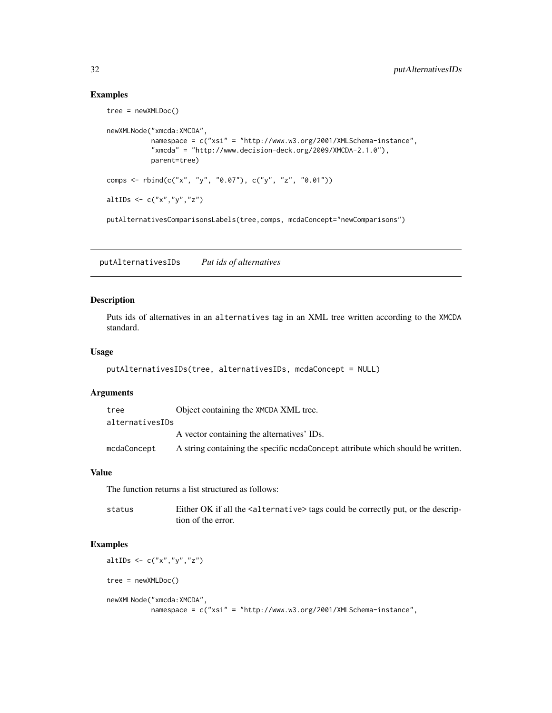#### Examples

```
tree = newXMLDoc()
newXMLNode("xmcda:XMCDA",
          namespace = c("xsi" = "http://www.w3.org/2001/XMLSchema-instance",
           "xmcda" = "http://www.decision-deck.org/2009/XMCDA-2.1.0"),
          parent=tree)
comps <- rbind(c("x", "y", "0.07"), c("y", "z", "0.01"))
altIDs <- c("x","y","z")
putAlternativesComparisonsLabels(tree,comps, mcdaConcept="newComparisons")
```
putAlternativesIDs *Put ids of alternatives*

#### Description

Puts ids of alternatives in an alternatives tag in an XML tree written according to the XMCDA standard.

## Usage

```
putAlternativesIDs(tree, alternativesIDs, mcdaConcept = NULL)
```
## Arguments

| tree            | Object containing the XMCDA XML tree.                                            |
|-----------------|----------------------------------------------------------------------------------|
| alternativesIDs |                                                                                  |
|                 | A vector containing the alternatives' IDs.                                       |
| mcdaConcept     | A string containing the specific mode concept attribute which should be written. |

#### Value

The function returns a list structured as follows:

| status | Either OK if all the <alternative> tags could be correctly put, or the descrip-</alternative> |
|--------|-----------------------------------------------------------------------------------------------|
|        | tion of the error.                                                                            |

## Examples

altIDs  $\leq$   $c("x", "y", "z")$ tree = newXMLDoc() newXMLNode("xmcda:XMCDA", namespace = c("xsi" = "http://www.w3.org/2001/XMLSchema-instance",

<span id="page-31-0"></span>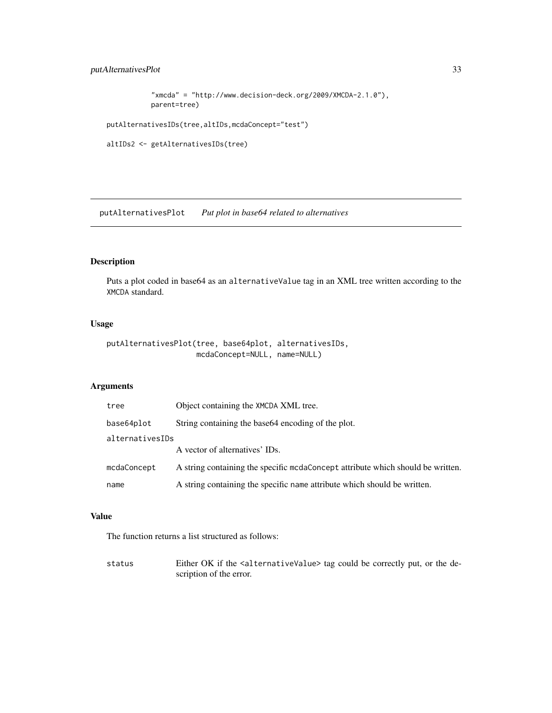## <span id="page-32-0"></span>putAlternativesPlot 33

```
"xmcda" = "http://www.decision-deck.org/2009/XMCDA-2.1.0"),
parent=tree)
```
putAlternativesIDs(tree,altIDs,mcdaConcept="test")

```
altIDs2 <- getAlternativesIDs(tree)
```
putAlternativesPlot *Put plot in base64 related to alternatives*

# Description

Puts a plot coded in base64 as an alternativeValue tag in an XML tree written according to the XMCDA standard.

## Usage

```
putAlternativesPlot(tree, base64plot, alternativesIDs,
                   mcdaConcept=NULL, name=NULL)
```
# Arguments

| tree            | Object containing the XMCDA XML tree.                                            |  |
|-----------------|----------------------------------------------------------------------------------|--|
| base64plot      | String containing the base 64 encoding of the plot.                              |  |
| alternativesIDs |                                                                                  |  |
|                 | A vector of alternatives' IDs.                                                   |  |
| mcdaConcept     | A string containing the specific mode once pt attribute which should be written. |  |
| name            | A string containing the specific name attribute which should be written.         |  |

#### Value

The function returns a list structured as follows:

status Either OK if the <alternativeValue> tag could be correctly put, or the description of the error.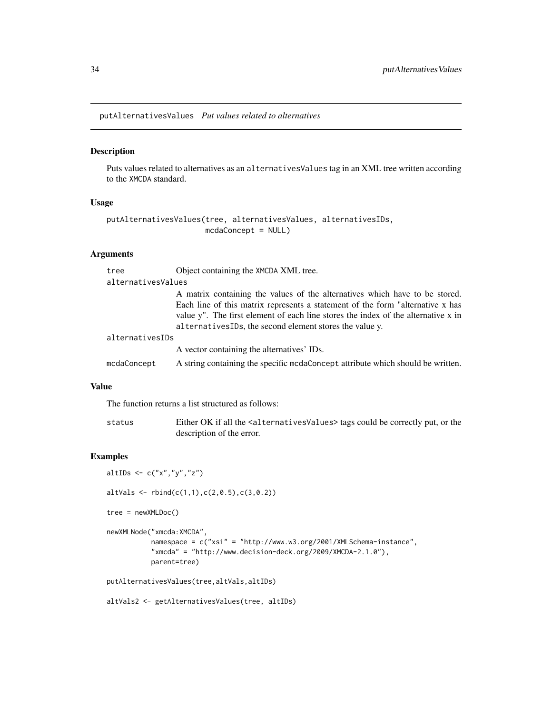<span id="page-33-0"></span>putAlternativesValues *Put values related to alternatives*

#### Description

Puts values related to alternatives as an alternativesValues tag in an XML tree written according to the XMCDA standard.

## Usage

```
putAlternativesValues(tree, alternativesValues, alternativesIDs,
                      mcdaConcept = NULL)
```
## Arguments

| tree               | Object containing the XMCDA XML tree.                                                                                                                                                                                                                                                                         |
|--------------------|---------------------------------------------------------------------------------------------------------------------------------------------------------------------------------------------------------------------------------------------------------------------------------------------------------------|
| alternativesValues |                                                                                                                                                                                                                                                                                                               |
|                    | A matrix containing the values of the alternatives which have to be stored.<br>Each line of this matrix represents a statement of the form "alternative x has<br>value y". The first element of each line stores the index of the alternative x in<br>alternativesIDs, the second element stores the value y. |
| alternativesIDs    |                                                                                                                                                                                                                                                                                                               |
|                    | A vector containing the alternatives' IDs.                                                                                                                                                                                                                                                                    |
| mcdaConcept        | A string containing the specific medaConcept attribute which should be written.                                                                                                                                                                                                                               |

## Value

The function returns a list structured as follows:

| status | Either OK if all the <alternativesvalues> tags could be correctly put, or the</alternativesvalues> |
|--------|----------------------------------------------------------------------------------------------------|
|        | description of the error.                                                                          |

## Examples

```
altIDs \leq -c("x", "y", "z")
```
altVals  $\le$  rbind(c(1,1),c(2,0.5),c(3,0.2))

```
tree = newXMLDoc()
```

```
newXMLNode("xmcda:XMCDA",
          namespace = c("xsi" = "http://www.w3.org/2001/XMLSchema-instance",
          "xmcda" = "http://www.decision-deck.org/2009/XMCDA-2.1.0"),
          parent=tree)
```

```
putAlternativesValues(tree,altVals,altIDs)
```
altVals2 <- getAlternativesValues(tree, altIDs)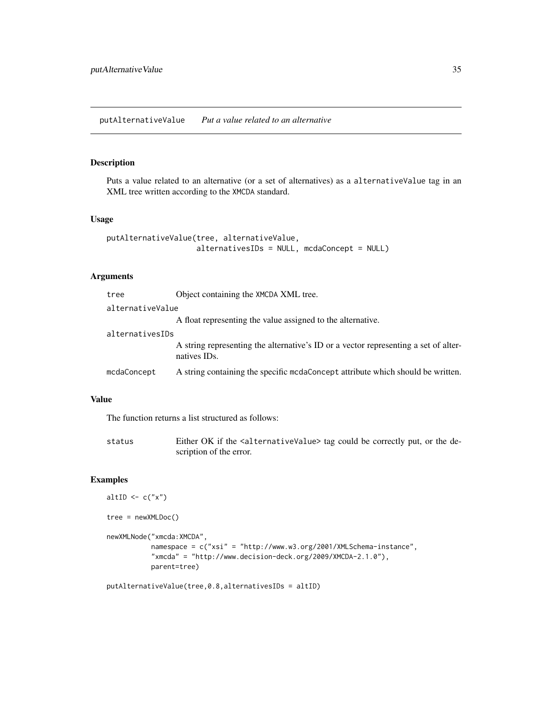## <span id="page-34-0"></span>Description

Puts a value related to an alternative (or a set of alternatives) as a alternativeValue tag in an XML tree written according to the XMCDA standard.

## Usage

```
putAlternativeValue(tree, alternativeValue,
                    alternativesIDs = NULL, mcdaConcept = NULL)
```
#### Arguments

| Object containing the XMCDA XML tree.<br>tree                                                                    |  |  |
|------------------------------------------------------------------------------------------------------------------|--|--|
| alternativeValue                                                                                                 |  |  |
| A float representing the value assigned to the alternative.                                                      |  |  |
| alternativesIDs                                                                                                  |  |  |
| A string representing the alternative's ID or a vector representing a set of alter-<br>natives ID <sub>s</sub> . |  |  |
| A string containing the specific mode oncept attribute which should be written.<br>mcdaConcept                   |  |  |

#### Value

The function returns a list structured as follows:

status Either OK if the <alternativeValue> tag could be correctly put, or the description of the error.

```
altID \leq c("x")
tree = newXMLDoc()
newXMLNode("xmcda:XMCDA",
           namespace = c("xsi" = "http://www.w3.org/2001/XMLSchema-instance",
           "xmcda" = "http://www.decision-deck.org/2009/XMCDA-2.1.0"),
           parent=tree)
```

```
putAlternativeValue(tree,0.8,alternativesIDs = altID)
```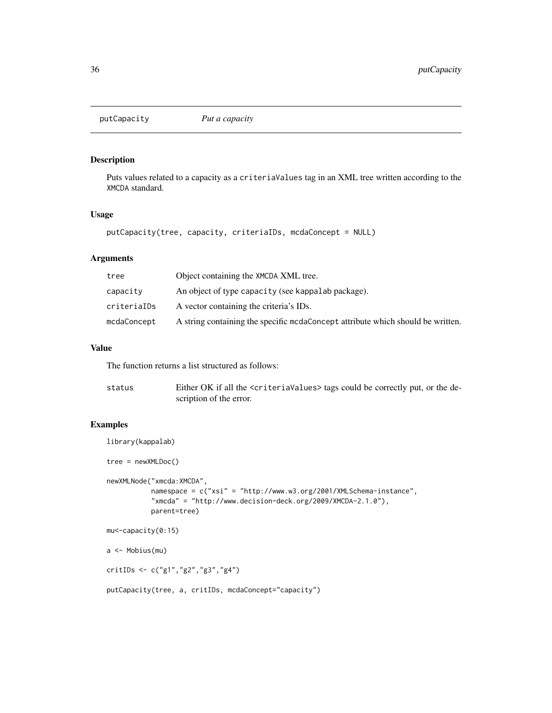<span id="page-35-0"></span>

## Description

Puts values related to a capacity as a criteriaValues tag in an XML tree written according to the XMCDA standard.

## Usage

```
putCapacity(tree, capacity, criteriaIDs, mcdaConcept = NULL)
```
## Arguments

| tree        | Object containing the XMCDA XML tree.                                            |
|-------------|----------------------------------------------------------------------------------|
| capacity    | An object of type capacity (see kappalab package).                               |
| criteriaIDs | A vector containing the criteria's IDs.                                          |
| mcdaConcept | A string containing the specific mode once pt attribute which should be written. |

## Value

The function returns a list structured as follows:

| status | Either OK if all the <criteriavalues> tags could be correctly put, or the de-</criteriavalues> |
|--------|------------------------------------------------------------------------------------------------|
|        | scription of the error.                                                                        |

```
library(kappalab)
tree = newXMLDoc()
newXMLNode("xmcda:XMCDA",
           namespace = c("xsi" = "http://www.w3.org/2001/XMLSchema-instance",
           "xmcda" = "http://www.decision-deck.org/2009/XMCDA-2.1.0"),
           parent=tree)
mu<-capacity(0:15)
a <- Mobius(mu)
critIDs <- c("g1","g2","g3","g4")
putCapacity(tree, a, critIDs, mcdaConcept="capacity")
```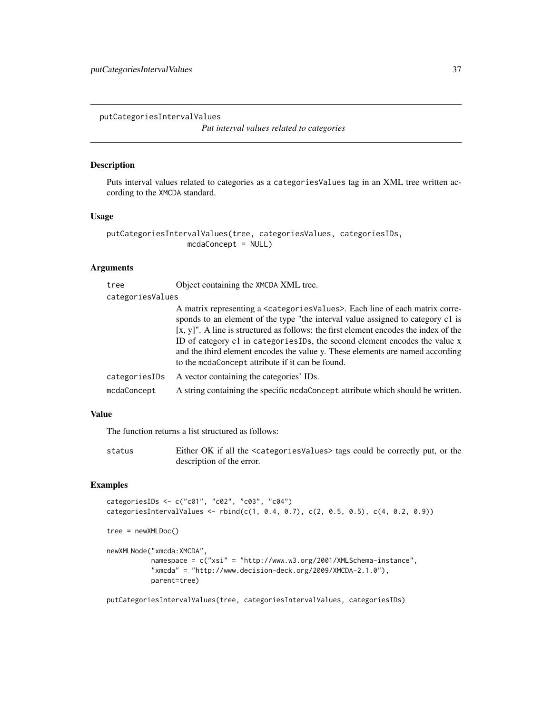<span id="page-36-0"></span>putCategoriesIntervalValues

*Put interval values related to categories*

## Description

Puts interval values related to categories as a categoriesValues tag in an XML tree written according to the XMCDA standard.

#### Usage

```
putCategoriesIntervalValues(tree, categoriesValues, categoriesIDs,
                  mcdaConcept = NULL)
```
## Arguments

| tree             | Object containing the XMCDA XML tree.                                                                                                                                                                                                                                                                                                                                                                                                                                                                           |  |
|------------------|-----------------------------------------------------------------------------------------------------------------------------------------------------------------------------------------------------------------------------------------------------------------------------------------------------------------------------------------------------------------------------------------------------------------------------------------------------------------------------------------------------------------|--|
| categoriesValues |                                                                                                                                                                                                                                                                                                                                                                                                                                                                                                                 |  |
|                  | A matrix representing a <categoriesvalues>. Each line of each matrix corre-<br/>sponds to an element of the type "the interval value assigned to category c1 is<br/><math>[x, y]'</math>. A line is structured as follows: the first element encodes the index of the<br/>ID of category c1 in categories IDs, the second element encodes the value x<br/>and the third element encodes the value y. These elements are named according<br/>to the mcdaConcept attribute if it can be found.</categoriesvalues> |  |
| categoriesIDs    | A vector containing the categories' IDs.                                                                                                                                                                                                                                                                                                                                                                                                                                                                        |  |
| mcdaConcept      | A string containing the specific medaConcept attribute which should be written.                                                                                                                                                                                                                                                                                                                                                                                                                                 |  |
|                  |                                                                                                                                                                                                                                                                                                                                                                                                                                                                                                                 |  |

## Value

The function returns a list structured as follows:

status Either OK if all the <categoriesValues> tags could be correctly put, or the description of the error.

## Examples

```
categoriesIDs <- c("c01", "c02", "c03", "c04")
categoriesIntervalValues <- rbind(c(1, 0.4, 0.7), c(2, 0.5, 0.5), c(4, 0.2, 0.9))
tree = newXMLDoc()
newXMLNode("xmcda:XMCDA",
           namespace = c("xsi" = "http://www.w3.org/2001/XMLSchema-instance",
           "xmcda" = "http://www.decision-deck.org/2009/XMCDA-2.1.0"),
           parent=tree)
```
putCategoriesIntervalValues(tree, categoriesIntervalValues, categoriesIDs)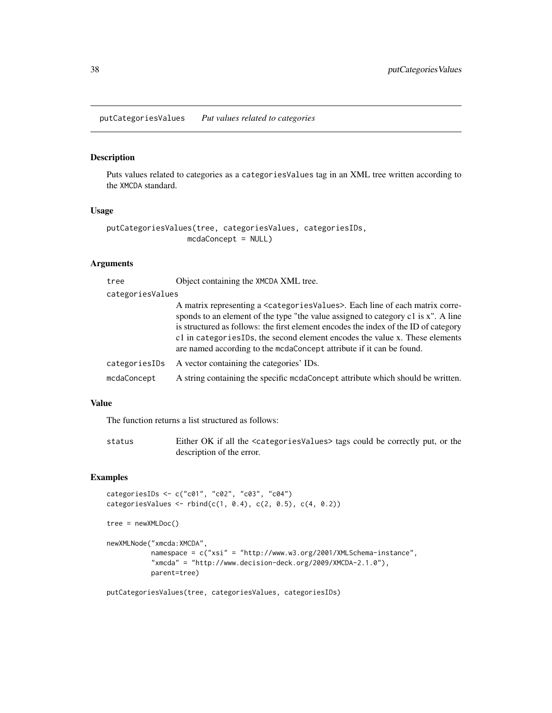<span id="page-37-0"></span>putCategoriesValues *Put values related to categories*

#### Description

Puts values related to categories as a categoriesValues tag in an XML tree written according to the XMCDA standard.

## Usage

```
putCategoriesValues(tree, categoriesValues, categoriesIDs,
                  mcdaConcept = NULL)
```
## Arguments

| tree             | Object containing the XMCDA XML tree.                                                                                                                                                                                                                                                                                                                                                                                                |
|------------------|--------------------------------------------------------------------------------------------------------------------------------------------------------------------------------------------------------------------------------------------------------------------------------------------------------------------------------------------------------------------------------------------------------------------------------------|
| categoriesValues |                                                                                                                                                                                                                                                                                                                                                                                                                                      |
|                  | A matrix representing a <categories values="">. Each line of each matrix corre-<br/>sponds to an element of the type "the value assigned to category c1 is x". A line<br/>is structured as follows: the first element encodes the index of the ID of category<br/>c1 in categories IDs, the second element encodes the value x. These elements<br/>are named according to the mcdaConcept attribute if it can be found.</categories> |
| categoriesIDs    | A vector containing the categories' IDs.                                                                                                                                                                                                                                                                                                                                                                                             |
| mcdaConcept      | A string containing the specific medaConcept attribute which should be written.                                                                                                                                                                                                                                                                                                                                                      |

## Value

The function returns a list structured as follows:

| status | Either OK if all the <categoriesvalues> tags could be correctly put, or the</categoriesvalues> |
|--------|------------------------------------------------------------------------------------------------|
|        | description of the error.                                                                      |

#### Examples

```
categoriesIDs <- c("c01", "c02", "c03", "c04")
categoricalsValues < - rbind(c(1, 0.4), c(2, 0.5), c(4, 0.2))
```

```
tree = newXMLDoc()
```

```
newXMLNode("xmcda:XMCDA",
          namespace = c("xsi" = "http://www.w3.org/2001/XMLSchema-instance",
          "xmcda" = "http://www.decision-deck.org/2009/XMCDA-2.1.0"),
          parent=tree)
```
putCategoriesValues(tree, categoriesValues, categoriesIDs)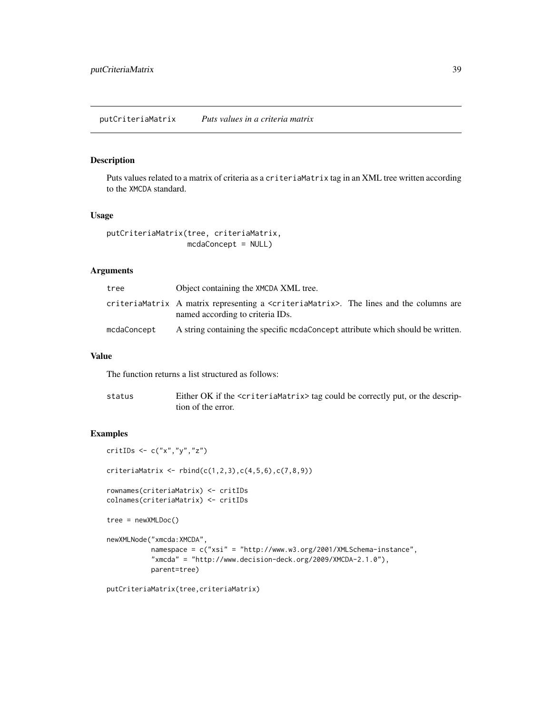## <span id="page-38-0"></span>Description

Puts values related to a matrix of criteria as a criteriaMatrix tag in an XML tree written according to the XMCDA standard.

#### Usage

```
putCriteriaMatrix(tree, criteriaMatrix,
                  mcdaConcept = NULL)
```
#### Arguments

| tree        | Object containing the XMCDA XML tree.                                                                                            |
|-------------|----------------------------------------------------------------------------------------------------------------------------------|
|             | criteriaMatrix A matrix representing a $\leq$ criteriaMatrix>. The lines and the columns are<br>named according to criteria IDs. |
| mcdaConcept | A string containing the specific medaConcept attribute which should be written.                                                  |

#### Value

The function returns a list structured as follows:

| status | Either OK if the <criteriamatrix> tag could be correctly put, or the descrip-</criteriamatrix> |
|--------|------------------------------------------------------------------------------------------------|
|        | tion of the error.                                                                             |

```
critIDs <- c("x","y","z")
criterionMatrix < - rbind(c(1, 2, 3), c(4, 5, 6), c(7, 8, 9))rownames(criteriaMatrix) <- critIDs
colnames(criteriaMatrix) <- critIDs
tree = newXMLDoc()
newXMLNode("xmcda:XMCDA",
           namespace = c("xsi" = "http://www.w3.org/2001/XMLSchema-instance",
           "xmcda" = "http://www.decision-deck.org/2009/XMCDA-2.1.0"),
           parent=tree)
putCriteriaMatrix(tree,criteriaMatrix)
```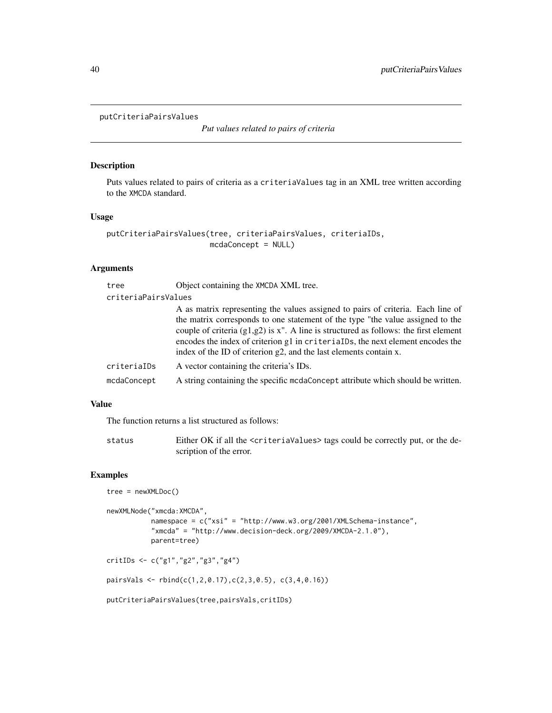```
putCriteriaPairsValues
```
*Put values related to pairs of criteria*

## Description

Puts values related to pairs of criteria as a criteriaValues tag in an XML tree written according to the XMCDA standard.

## Usage

```
putCriteriaPairsValues(tree, criteriaPairsValues, criteriaIDs,
                       mcdaConcept = NULL)
```
## Arguments

| tree                | Object containing the XMCDA XML tree.                                                                                                                                                                                                                                                                                                                                                                              |
|---------------------|--------------------------------------------------------------------------------------------------------------------------------------------------------------------------------------------------------------------------------------------------------------------------------------------------------------------------------------------------------------------------------------------------------------------|
| criteriaPairsValues |                                                                                                                                                                                                                                                                                                                                                                                                                    |
|                     | A as matrix representing the values assigned to pairs of criteria. Each line of<br>the matrix corresponds to one statement of the type "the value assigned to the<br>couple of criteria $(g1,g2)$ is x". A line is structured as follows: the first element<br>encodes the index of criterion g1 in criterialDs, the next element encodes the<br>index of the ID of criterion g2, and the last elements contain x. |
| criteriaIDs         | A vector containing the criteria's IDs.                                                                                                                                                                                                                                                                                                                                                                            |
| mcdaConcept         | A string containing the specific mode concept attribute which should be written.                                                                                                                                                                                                                                                                                                                                   |

## Value

The function returns a list structured as follows:

status Either OK if all the <criteriaValues> tags could be correctly put, or the description of the error.

# Examples

```
tree = newXMLDoc()
newXMLNode("xmcda:XMCDA",
           namespace = c("xsi" = "http://www.w3.org/2001/XMLSchema-instance",
           "xmcda" = "http://www.decision-deck.org/2009/XMCDA-2.1.0"),
           parent=tree)
```
critIDs <- c("g1","g2","g3","g4")

pairsVals <- rbind(c(1,2,0.17),c(2,3,0.5), c(3,4,0.16))

putCriteriaPairsValues(tree,pairsVals,critIDs)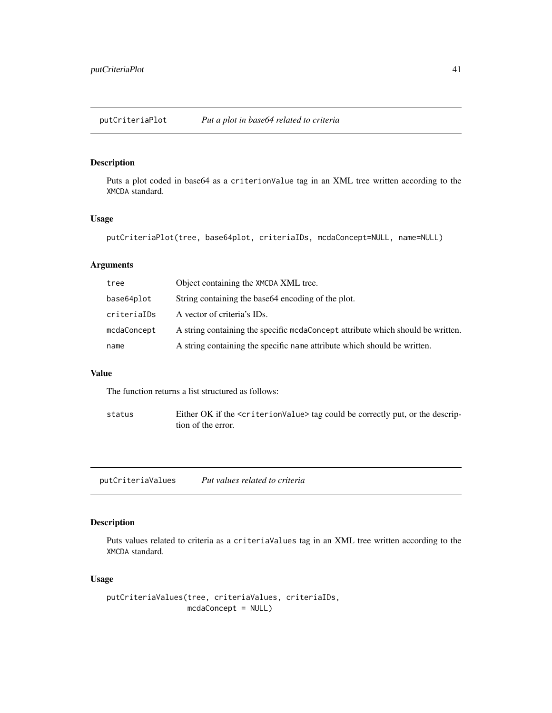<span id="page-40-0"></span>putCriteriaPlot *Put a plot in base64 related to criteria*

## Description

Puts a plot coded in base64 as a criterionValue tag in an XML tree written according to the XMCDA standard.

## Usage

```
putCriteriaPlot(tree, base64plot, criteriaIDs, mcdaConcept=NULL, name=NULL)
```
## Arguments

| tree        | Object containing the XMCDA XML tree.                                           |
|-------------|---------------------------------------------------------------------------------|
| base64plot  | String containing the base 64 encoding of the plot.                             |
| criterialDs | A vector of criteria's IDs.                                                     |
| mcdaConcept | A string containing the specific modaConcept attribute which should be written. |
| name        | A string containing the specific name attribute which should be written.        |

#### Value

The function returns a list structured as follows:

status Either OK if the <criterionValue> tag could be correctly put, or the description of the error.

putCriteriaValues *Put values related to criteria*

## Description

Puts values related to criteria as a criteriaValues tag in an XML tree written according to the XMCDA standard.

## Usage

putCriteriaValues(tree, criteriaValues, criteriaIDs, mcdaConcept = NULL)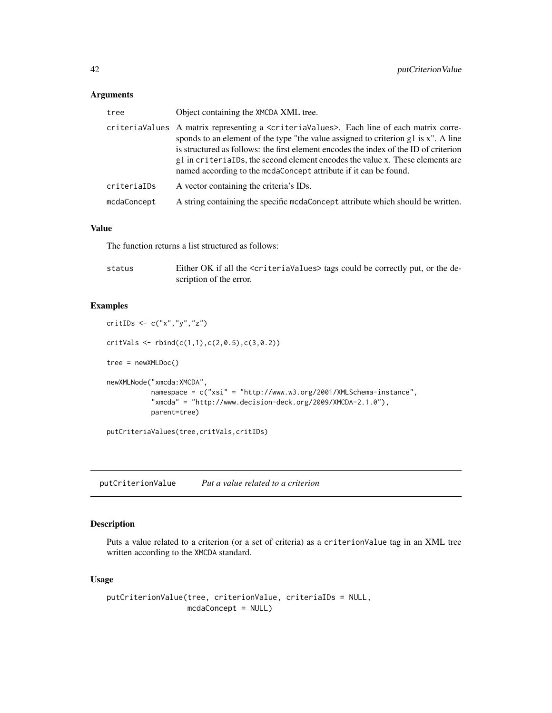## <span id="page-41-0"></span>Arguments

| tree        | Object containing the XMCDA XML tree.                                                                                                                                                                                                                                                                                                                                                                                                             |
|-------------|---------------------------------------------------------------------------------------------------------------------------------------------------------------------------------------------------------------------------------------------------------------------------------------------------------------------------------------------------------------------------------------------------------------------------------------------------|
|             | criteriaValues  A matrix representing a <criteriavalues>. Each line of each matrix corre-<br/>sponds to an element of the type "the value assigned to criterion g1 is x". A line<br/>is structured as follows: the first element encodes the index of the ID of criterion<br/>g1 in criterialDs, the second element encodes the value x. These elements are<br/>named according to the mcdaConcept attribute if it can be found.</criteriavalues> |
| criteriaIDs | A vector containing the criteria's IDs.                                                                                                                                                                                                                                                                                                                                                                                                           |
| mcdaConcept | A string containing the specific mode concept attribute which should be written.                                                                                                                                                                                                                                                                                                                                                                  |
|             |                                                                                                                                                                                                                                                                                                                                                                                                                                                   |

## Value

The function returns a list structured as follows:

| status | Either OK if all the <criteriavalues> tags could be correctly put, or the de-</criteriavalues> |
|--------|------------------------------------------------------------------------------------------------|
|        | scription of the error.                                                                        |

## Examples

```
critIDs \leq c("x","y","z")
critVals \leftarrow rbind(c(1,1),c(2,0.5),c(3,0.2))tree = newXMLDoc()
newXMLNode("xmcda:XMCDA",
           namespace = c("xsi" = "http://www.w3.org/2001/XMLSchema-instance",
           "xmcda" = "http://www.decision-deck.org/2009/XMCDA-2.1.0"),
           parent=tree)
putCriteriaValues(tree,critVals,critIDs)
```
putCriterionValue *Put a value related to a criterion*

## Description

Puts a value related to a criterion (or a set of criteria) as a criterionValue tag in an XML tree written according to the XMCDA standard.

#### Usage

```
putCriterionValue(tree, criterionValue, criteriaIDs = NULL,
                 mcdaConcept = NULL)
```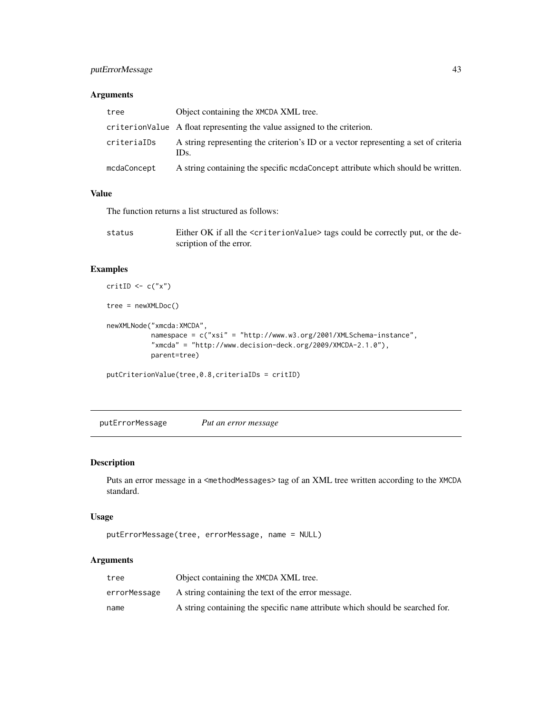## <span id="page-42-0"></span>putErrorMessage 43

## Arguments

| tree        | Object containing the XMCDA XML tree.                                                       |
|-------------|---------------------------------------------------------------------------------------------|
|             | criterion Value A float representing the value assigned to the criterion.                   |
| criteriaIDs | A string representing the criterion's ID or a vector representing a set of criteria<br>IDs. |
| mcdaConcept | A string containing the specific more more attribute which should be written.               |

## Value

The function returns a list structured as follows:

| status | Either OK if all the <criterionvalue> tags could be correctly put, or the de-</criterionvalue> |
|--------|------------------------------------------------------------------------------------------------|
|        | scription of the error.                                                                        |

## Examples

```
critID \leftarrow c("x")tree = newXMLDoc()
newXMLNode("xmcda:XMCDA",
           namespace = c("xsi" = "http://www.w3.org/2001/XMLSchema-instance",
           "xmcda" = "http://www.decision-deck.org/2009/XMCDA-2.1.0"),
           parent=tree)
putCriterionValue(tree,0.8,criteriaIDs = critID)
```
putErrorMessage *Put an error message*

## Description

Puts an error message in a <methodMessages> tag of an XML tree written according to the XMCDA standard.

## Usage

```
putErrorMessage(tree, errorMessage, name = NULL)
```
## Arguments

| tree         | Object containing the XMCDA XML tree.                                         |
|--------------|-------------------------------------------------------------------------------|
| errorMessage | A string containing the text of the error message.                            |
| name         | A string containing the specific name attribute which should be searched for. |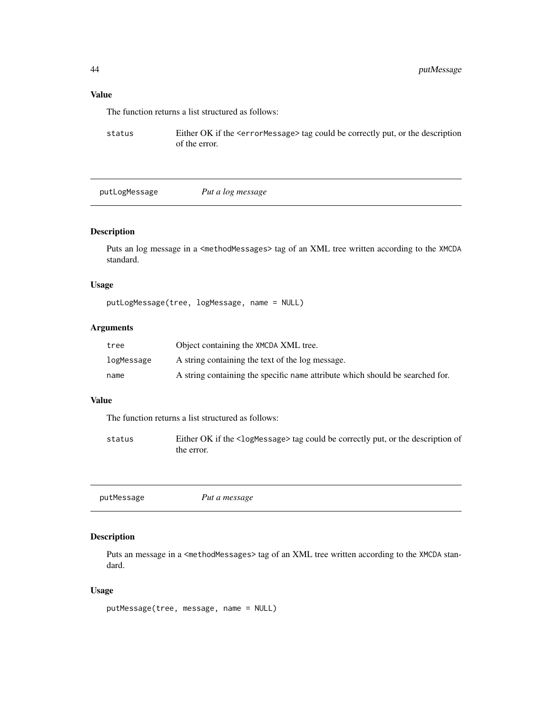# <span id="page-43-0"></span>Value

The function returns a list structured as follows:

status Either OK if the <errorMessage> tag could be correctly put, or the description of the error.

putLogMessage *Put a log message*

## Description

Puts an log message in a <methodMessages> tag of an XML tree written according to the XMCDA standard.

## Usage

putLogMessage(tree, logMessage, name = NULL)

## Arguments

| tree       | Object containing the XMCDA XML tree.                                         |
|------------|-------------------------------------------------------------------------------|
| logMessage | A string containing the text of the log message.                              |
| name       | A string containing the specific name attribute which should be searched for. |

#### Value

The function returns a list structured as follows:

status Either OK if the <logMessage> tag could be correctly put, or the description of the error.

| putMessage | Put a message |
|------------|---------------|
|            |               |

## Description

Puts an message in a <methodMessages> tag of an XML tree written according to the XMCDA standard.

## Usage

```
putMessage(tree, message, name = NULL)
```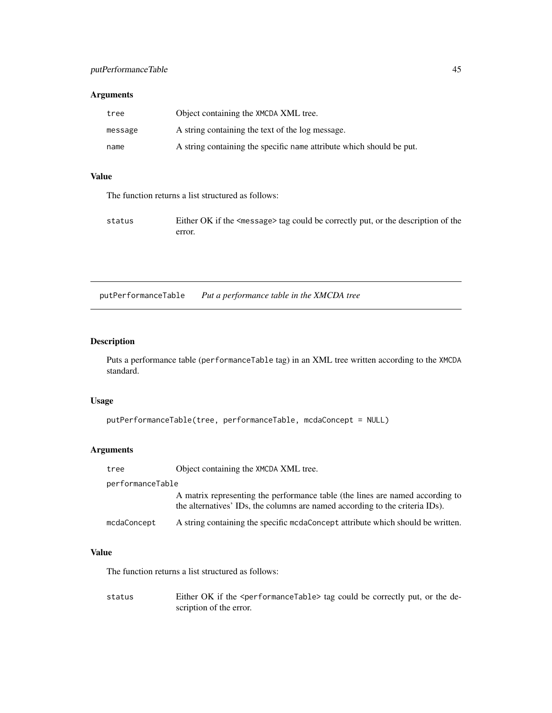## <span id="page-44-0"></span>Arguments

| tree    | Object containing the XMCDA XML tree.                                |
|---------|----------------------------------------------------------------------|
| message | A string containing the text of the log message.                     |
| name    | A string containing the specific name attribute which should be put. |

## Value

The function returns a list structured as follows:

| status | Either OK if the <message> tag could be correctly put, or the description of the</message> |
|--------|--------------------------------------------------------------------------------------------|
|        | error.                                                                                     |

putPerformanceTable *Put a performance table in the XMCDA tree*

# Description

Puts a performance table (performanceTable tag) in an XML tree written according to the XMCDA standard.

## Usage

```
putPerformanceTable(tree, performanceTable, mcdaConcept = NULL)
```
## Arguments

| tree             | Object containing the XMCDA XML tree.                                                                                                                         |  |
|------------------|---------------------------------------------------------------------------------------------------------------------------------------------------------------|--|
| performanceTable |                                                                                                                                                               |  |
|                  | A matrix representing the performance table (the lines are named according to<br>the alternatives' IDs, the columns are named according to the criteria IDs). |  |
| mcdaConcept      | A string containing the specific mcdaConcept attribute which should be written.                                                                               |  |

# Value

The function returns a list structured as follows:

status Either OK if the <performanceTable> tag could be correctly put, or the description of the error.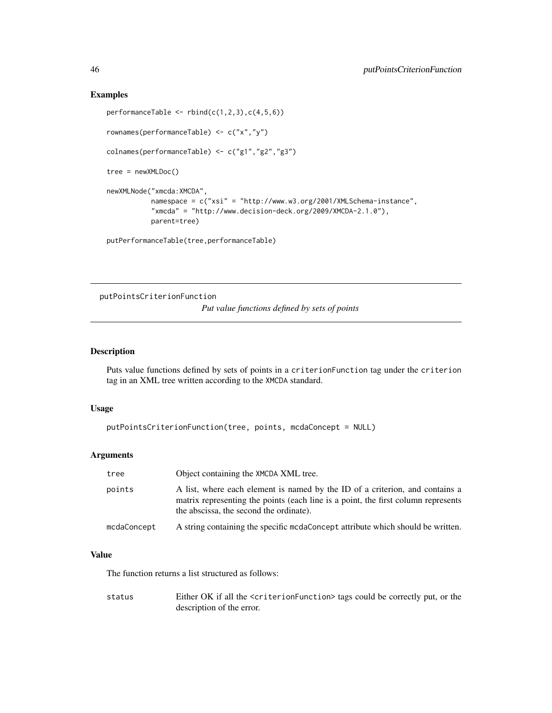#### Examples

```
performanceTable \le rbind(c(1,2,3),c(4,5,6))
rownames(performanceTable) <- c("x","y")
colnames(performanceTable) <- c("g1","g2","g3")
tree = newXMLDoc()
newXMLNode("xmcda:XMCDA",
           namespace = c("xsi" = "http://www.w3.org/2001/XMLSchema-instance",
           "xmcda" = "http://www.decision-deck.org/2009/XMCDA-2.1.0"),
           parent=tree)
putPerformanceTable(tree,performanceTable)
```
putPointsCriterionFunction

*Put value functions defined by sets of points*

## Description

Puts value functions defined by sets of points in a criterionFunction tag under the criterion tag in an XML tree written according to the XMCDA standard.

#### Usage

```
putPointsCriterionFunction(tree, points, mcdaConcept = NULL)
```
## Arguments

| tree        | Object containing the XMCDA XML tree.                                                                                                                                                                        |
|-------------|--------------------------------------------------------------------------------------------------------------------------------------------------------------------------------------------------------------|
| points      | A list, where each element is named by the ID of a criterion, and contains a<br>matrix representing the points (each line is a point, the first column represents<br>the abscissa, the second the ordinate). |
| mcdaConcept | A string containing the specific medaConcept attribute which should be written.                                                                                                                              |

## Value

The function returns a list structured as follows:

status Either OK if all the <criterionFunction> tags could be correctly put, or the description of the error.

<span id="page-45-0"></span>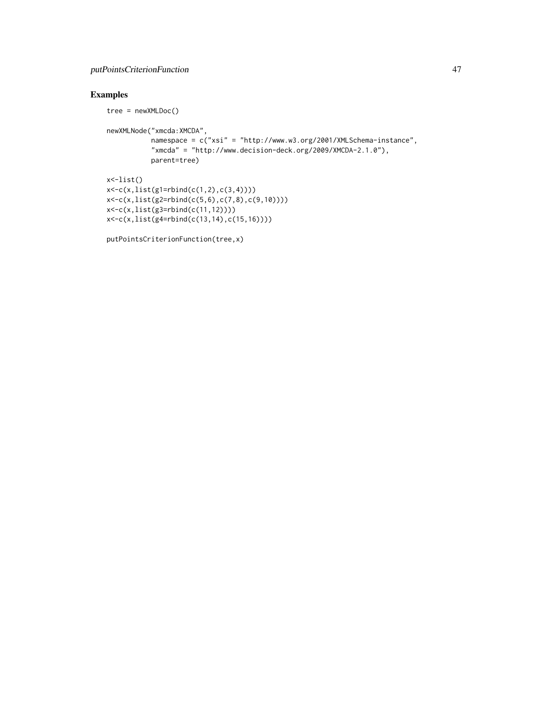## putPointsCriterionFunction 47

```
tree = newXMLDoc()
newXMLNode("xmcda:XMCDA",
          namespace = c("xsi" = "http://www.w3.org/2001/XMLSchema-instance",
           "xmcda" = "http://www.decision-deck.org/2009/XMCDA-2.1.0"),
           parent=tree)
x<-list()
x < -c(x, list(g1 = rbind(c(1, 2), c(3, 4))))x<-c(x,list(g2=rbind(c(5,6),c(7,8),c(9,10))))
x<-c(x,list(g3=rbind(c(11,12))))
x<-c(x,list(g4=rbind(c(13,14),c(15,16))))
```

```
putPointsCriterionFunction(tree,x)
```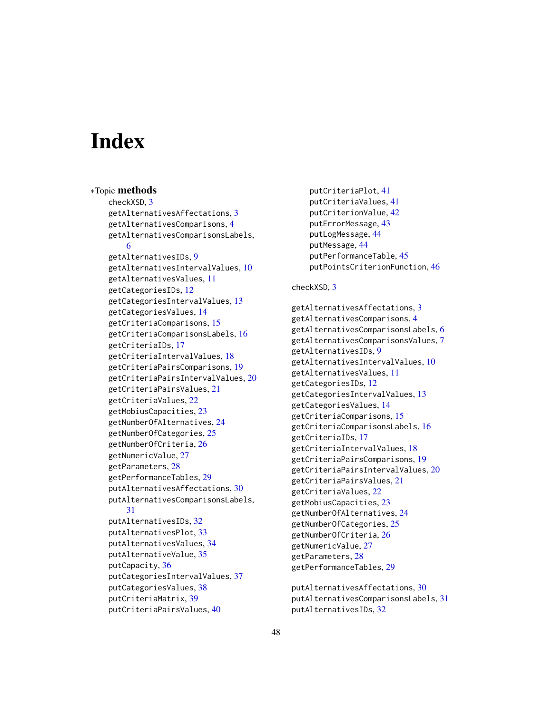# <span id="page-47-0"></span>Index

∗Topic methods checkXSD, [3](#page-2-0) getAlternativesAffectations, [3](#page-2-0) getAlternativesComparisons, [4](#page-3-0) getAlternativesComparisonsLabels, [6](#page-5-0) getAlternativesIDs, [9](#page-8-0) getAlternativesIntervalValues, [10](#page-9-0) getAlternativesValues, [11](#page-10-0) getCategoriesIDs, [12](#page-11-0) getCategoriesIntervalValues, [13](#page-12-0) getCategoriesValues, [14](#page-13-0) getCriteriaComparisons, [15](#page-14-0) getCriteriaComparisonsLabels, [16](#page-15-0) getCriteriaIDs, [17](#page-16-0) getCriteriaIntervalValues, [18](#page-17-0) getCriteriaPairsComparisons, [19](#page-18-0) getCriteriaPairsIntervalValues, [20](#page-19-0) getCriteriaPairsValues, [21](#page-20-0) getCriteriaValues, [22](#page-21-0) getMobiusCapacities, [23](#page-22-0) getNumberOfAlternatives, [24](#page-23-0) getNumberOfCategories, [25](#page-24-0) getNumberOfCriteria, [26](#page-25-0) getNumericValue, [27](#page-26-0) getParameters, [28](#page-27-0) getPerformanceTables, [29](#page-28-0) putAlternativesAffectations, [30](#page-29-0) putAlternativesComparisonsLabels, [31](#page-30-0) putAlternativesIDs, [32](#page-31-0) putAlternativesPlot, [33](#page-32-0) putAlternativesValues, [34](#page-33-0) putAlternativeValue, [35](#page-34-0) putCapacity, [36](#page-35-0) putCategoriesIntervalValues, [37](#page-36-0) putCategoriesValues, [38](#page-37-0) putCriteriaMatrix, [39](#page-38-0) putCriteriaPairsValues, [40](#page-39-0)

putCriteriaPlot, [41](#page-40-0) putCriteriaValues, [41](#page-40-0) putCriterionValue, [42](#page-41-0) putErrorMessage, [43](#page-42-0) putLogMessage, [44](#page-43-0) putMessage, [44](#page-43-0) putPerformanceTable, [45](#page-44-0) putPointsCriterionFunction, [46](#page-45-0)

## checkXSD, [3](#page-2-0)

getAlternativesAffectations, [3](#page-2-0) getAlternativesComparisons, [4](#page-3-0) getAlternativesComparisonsLabels, [6](#page-5-0) getAlternativesComparisonsValues, [7](#page-6-0) getAlternativesIDs, [9](#page-8-0) getAlternativesIntervalValues, [10](#page-9-0) getAlternativesValues, [11](#page-10-0) getCategoriesIDs, [12](#page-11-0) getCategoriesIntervalValues, [13](#page-12-0) getCategoriesValues, [14](#page-13-0) getCriteriaComparisons, [15](#page-14-0) getCriteriaComparisonsLabels, [16](#page-15-0) getCriteriaIDs, [17](#page-16-0) getCriteriaIntervalValues, [18](#page-17-0) getCriteriaPairsComparisons, [19](#page-18-0) getCriteriaPairsIntervalValues, [20](#page-19-0) getCriteriaPairsValues, [21](#page-20-0) getCriteriaValues, [22](#page-21-0) getMobiusCapacities, [23](#page-22-0) getNumberOfAlternatives, [24](#page-23-0) getNumberOfCategories, [25](#page-24-0) getNumberOfCriteria, [26](#page-25-0) getNumericValue, [27](#page-26-0) getParameters, [28](#page-27-0) getPerformanceTables, [29](#page-28-0)

putAlternativesAffectations, [30](#page-29-0) putAlternativesComparisonsLabels, [31](#page-30-0) putAlternativesIDs, [32](#page-31-0)